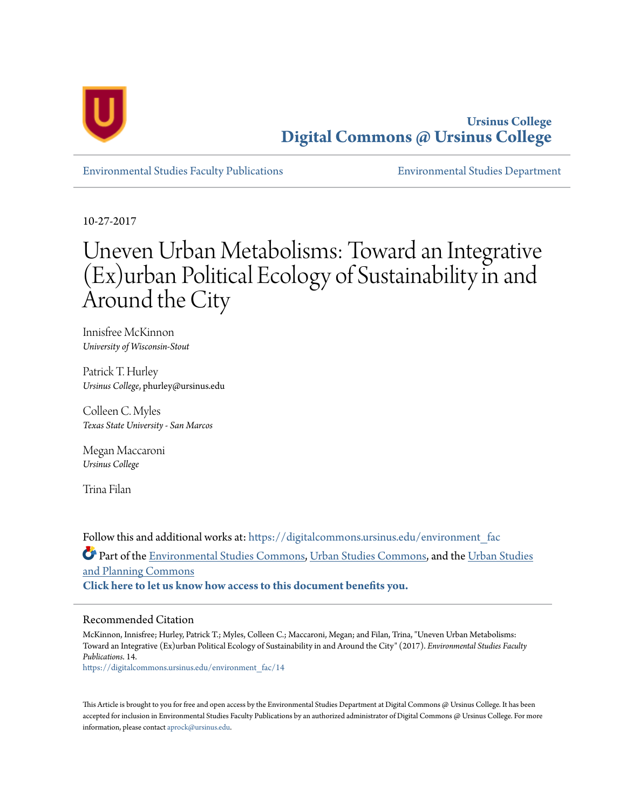

**Ursinus College [Digital Commons @ Ursinus College](https://digitalcommons.ursinus.edu?utm_source=digitalcommons.ursinus.edu%2Fenvironment_fac%2F14&utm_medium=PDF&utm_campaign=PDFCoverPages)**

[Environmental Studies Faculty Publications](https://digitalcommons.ursinus.edu/environment_fac?utm_source=digitalcommons.ursinus.edu%2Fenvironment_fac%2F14&utm_medium=PDF&utm_campaign=PDFCoverPages) [Environmental Studies Department](https://digitalcommons.ursinus.edu/environment?utm_source=digitalcommons.ursinus.edu%2Fenvironment_fac%2F14&utm_medium=PDF&utm_campaign=PDFCoverPages)

10-27-2017

# Uneven Urban Metabolisms: Toward an Integrative (Ex)urban Political Ecology of Sustainability in and Around the City

Innisfree McKinnon *University of Wisconsin-Stout*

Patrick T. Hurley *Ursinus College*, phurley@ursinus.edu

Colleen C. Myles *Texas State University - San Marcos*

Megan Maccaroni *Ursinus College*

Trina Filan

Follow this and additional works at: [https://digitalcommons.ursinus.edu/environment\\_fac](https://digitalcommons.ursinus.edu/environment_fac?utm_source=digitalcommons.ursinus.edu%2Fenvironment_fac%2F14&utm_medium=PDF&utm_campaign=PDFCoverPages) Part of the [Environmental Studies Commons](http://network.bepress.com/hgg/discipline/1333?utm_source=digitalcommons.ursinus.edu%2Fenvironment_fac%2F14&utm_medium=PDF&utm_campaign=PDFCoverPages), [Urban Studies Commons](http://network.bepress.com/hgg/discipline/402?utm_source=digitalcommons.ursinus.edu%2Fenvironment_fac%2F14&utm_medium=PDF&utm_campaign=PDFCoverPages), and the [Urban Studies](http://network.bepress.com/hgg/discipline/436?utm_source=digitalcommons.ursinus.edu%2Fenvironment_fac%2F14&utm_medium=PDF&utm_campaign=PDFCoverPages) [and Planning Commons](http://network.bepress.com/hgg/discipline/436?utm_source=digitalcommons.ursinus.edu%2Fenvironment_fac%2F14&utm_medium=PDF&utm_campaign=PDFCoverPages) **[Click here to let us know how access to this document benefits you.](https://ursinus.co1.qualtrics.com/jfe/form/SV_1RIyfqzdxsWfMQ5)**

#### Recommended Citation

McKinnon, Innisfree; Hurley, Patrick T.; Myles, Colleen C.; Maccaroni, Megan; and Filan, Trina, "Uneven Urban Metabolisms: Toward an Integrative (Ex)urban Political Ecology of Sustainability in and Around the City" (2017). *Environmental Studies Faculty Publications*. 14.

[https://digitalcommons.ursinus.edu/environment\\_fac/14](https://digitalcommons.ursinus.edu/environment_fac/14?utm_source=digitalcommons.ursinus.edu%2Fenvironment_fac%2F14&utm_medium=PDF&utm_campaign=PDFCoverPages)

This Article is brought to you for free and open access by the Environmental Studies Department at Digital Commons  $\varpi$  Ursinus College. It has been accepted for inclusion in Environmental Studies Faculty Publications by an authorized administrator of Digital Commons @ Ursinus College. For more information, please contact [aprock@ursinus.edu](mailto:aprock@ursinus.edu).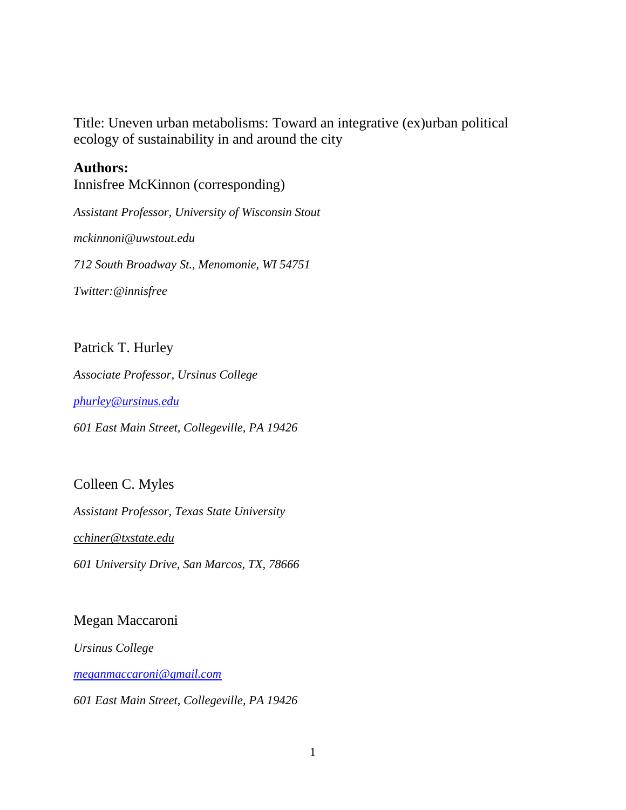Title: Uneven urban metabolisms: Toward an integrative (ex)urban political ecology of sustainability in and around the city

### **Authors:**

Innisfree McKinnon (corresponding)

*Assistant Professor, University of Wisconsin Stout*

*mckinnoni@uwstout.edu*

*712 South Broadway St., Menomonie, WI 54751*

*Twitter:@innisfree*

### Patrick T. Hurley

*Associate Professor, Ursinus College*

*[phurley@ursinus.edu](mailto:phurley@ursinus.edu)*

*601 East Main Street, Collegeville, PA 19426*

### Colleen C. Myles

*Assistant Professor, Texas State University [cchiner@txstate.edu](mailto:cchiner@txstate.edu) 601 University Drive, San Marcos, TX, 78666*

### Megan Maccaroni

*Ursinus College*

*[meganmaccaroni@gmail.com](mailto:meganmaccaroni@gmail.com)*

*601 East Main Street, Collegeville, PA 19426*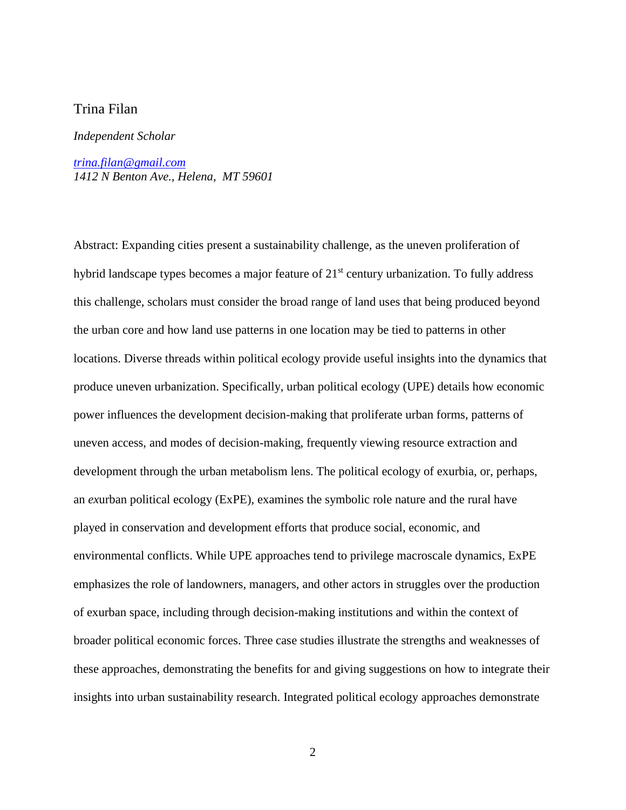#### Trina Filan

#### *Independent Scholar*

*[trina.filan@gmail.com](mailto:trina.filan@gmail.com) 1412 N Benton Ave., Helena, MT 59601*

Abstract: Expanding cities present a sustainability challenge, as the uneven proliferation of hybrid landscape types becomes a major feature of 21<sup>st</sup> century urbanization. To fully address this challenge, scholars must consider the broad range of land uses that being produced beyond the urban core and how land use patterns in one location may be tied to patterns in other locations. Diverse threads within political ecology provide useful insights into the dynamics that produce uneven urbanization. Specifically, urban political ecology (UPE) details how economic power influences the development decision-making that proliferate urban forms, patterns of uneven access, and modes of decision-making, frequently viewing resource extraction and development through the urban metabolism lens. The political ecology of exurbia, or, perhaps, an *ex*urban political ecology (ExPE), examines the symbolic role nature and the rural have played in conservation and development efforts that produce social, economic, and environmental conflicts. While UPE approaches tend to privilege macroscale dynamics, ExPE emphasizes the role of landowners, managers, and other actors in struggles over the production of exurban space, including through decision-making institutions and within the context of broader political economic forces. Three case studies illustrate the strengths and weaknesses of these approaches, demonstrating the benefits for and giving suggestions on how to integrate their insights into urban sustainability research. Integrated political ecology approaches demonstrate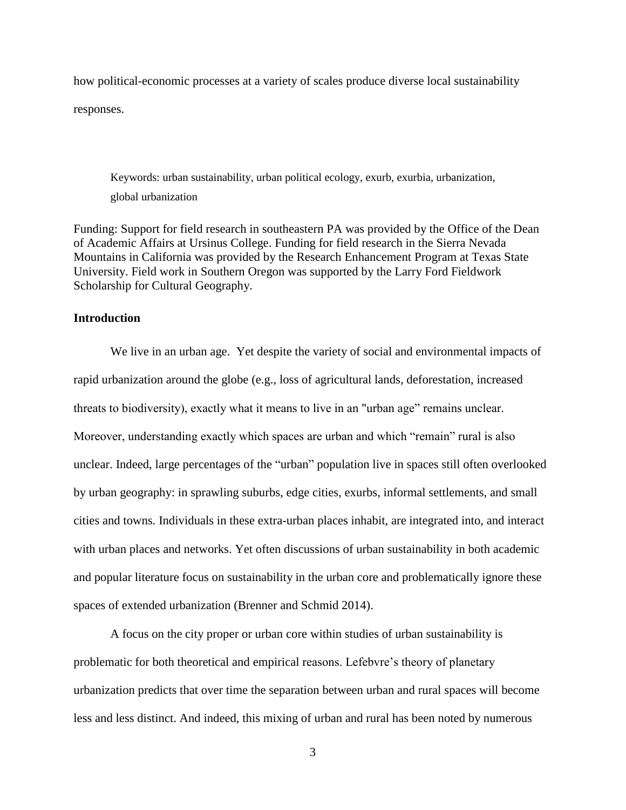how political-economic processes at a variety of scales produce diverse local sustainability responses.

Keywords: urban sustainability, urban political ecology, exurb, exurbia, urbanization, global urbanization

Funding: Support for field research in southeastern PA was provided by the Office of the Dean of Academic Affairs at Ursinus College. Funding for field research in the Sierra Nevada Mountains in California was provided by the Research Enhancement Program at Texas State University. Field work in Southern Oregon was supported by the Larry Ford Fieldwork Scholarship for Cultural Geography.

#### **Introduction**

 We live in an urban age. Yet despite the variety of social and environmental impacts of rapid urbanization around the globe (e.g., loss of agricultural lands, deforestation, increased threats to biodiversity), exactly what it means to live in an "urban age" remains unclear. Moreover, understanding exactly which spaces are urban and which "remain" rural is also unclear. Indeed, large percentages of the "urban" population live in spaces still often overlooked by urban geography: in sprawling suburbs, edge cities, exurbs, informal settlements, and small cities and towns. Individuals in these extra-urban places inhabit, are integrated into, and interact with urban places and networks. Yet often discussions of urban sustainability in both academic and popular literature focus on sustainability in the urban core and problematically ignore these spaces of extended urbanization (Brenner and Schmid 2014).

A focus on the city proper or urban core within studies of urban sustainability is problematic for both theoretical and empirical reasons. Lefebvre's theory of planetary urbanization predicts that over time the separation between urban and rural spaces will become less and less distinct. And indeed, this mixing of urban and rural has been noted by numerous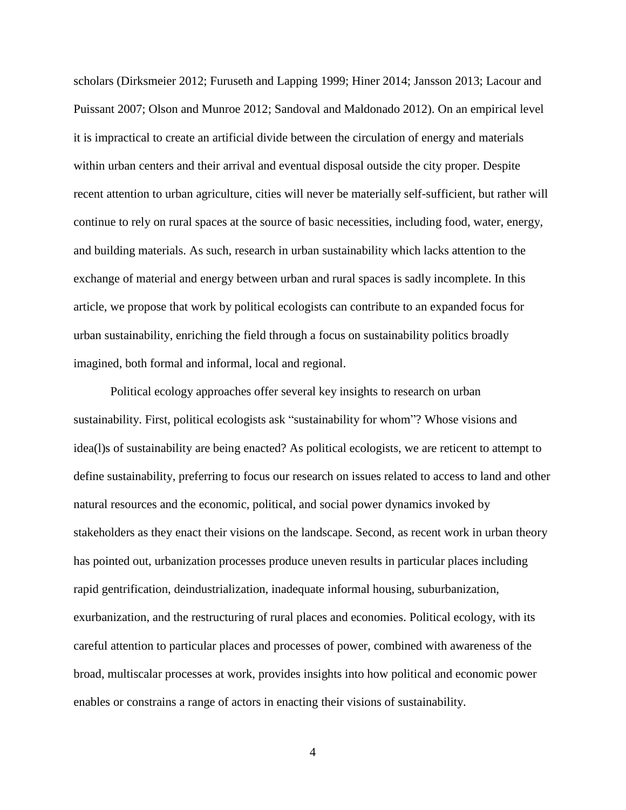scholars (Dirksmeier 2012; Furuseth and Lapping 1999; Hiner 2014; Jansson 2013; Lacour and Puissant 2007; Olson and Munroe 2012; Sandoval and Maldonado 2012). On an empirical level it is impractical to create an artificial divide between the circulation of energy and materials within urban centers and their arrival and eventual disposal outside the city proper. Despite recent attention to urban agriculture, cities will never be materially self-sufficient, but rather will continue to rely on rural spaces at the source of basic necessities, including food, water, energy, and building materials. As such, research in urban sustainability which lacks attention to the exchange of material and energy between urban and rural spaces is sadly incomplete. In this article, we propose that work by political ecologists can contribute to an expanded focus for urban sustainability, enriching the field through a focus on sustainability politics broadly imagined, both formal and informal, local and regional.

Political ecology approaches offer several key insights to research on urban sustainability. First, political ecologists ask "sustainability for whom"? Whose visions and idea(l)s of sustainability are being enacted? As political ecologists, we are reticent to attempt to define sustainability, preferring to focus our research on issues related to access to land and other natural resources and the economic, political, and social power dynamics invoked by stakeholders as they enact their visions on the landscape. Second, as recent work in urban theory has pointed out, urbanization processes produce uneven results in particular places including rapid gentrification, deindustrialization, inadequate informal housing, suburbanization, exurbanization, and the restructuring of rural places and economies. Political ecology, with its careful attention to particular places and processes of power, combined with awareness of the broad, multiscalar processes at work, provides insights into how political and economic power enables or constrains a range of actors in enacting their visions of sustainability.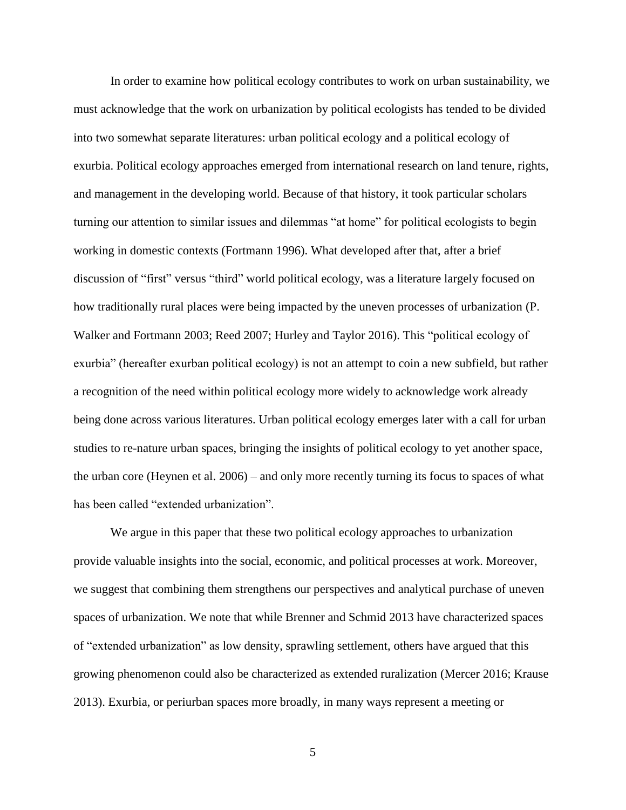In order to examine how political ecology contributes to work on urban sustainability, we must acknowledge that the work on urbanization by political ecologists has tended to be divided into two somewhat separate literatures: urban political ecology and a political ecology of exurbia. Political ecology approaches emerged from international research on land tenure, rights, and management in the developing world. Because of that history, it took particular scholars turning our attention to similar issues and dilemmas "at home" for political ecologists to begin working in domestic contexts (Fortmann 1996). What developed after that, after a brief discussion of "first" versus "third" world political ecology, was a literature largely focused on how traditionally rural places were being impacted by the uneven processes of urbanization (P. Walker and Fortmann 2003; Reed 2007; Hurley and Taylor 2016). This "political ecology of exurbia" (hereafter exurban political ecology) is not an attempt to coin a new subfield, but rather a recognition of the need within political ecology more widely to acknowledge work already being done across various literatures. Urban political ecology emerges later with a call for urban studies to re-nature urban spaces, bringing the insights of political ecology to yet another space, the urban core (Heynen et al. 2006) – and only more recently turning its focus to spaces of what has been called "extended urbanization".

We argue in this paper that these two political ecology approaches to urbanization provide valuable insights into the social, economic, and political processes at work. Moreover, we suggest that combining them strengthens our perspectives and analytical purchase of uneven spaces of urbanization. We note that while Brenner and Schmid 2013 have characterized spaces of "extended urbanization" as low density, sprawling settlement, others have argued that this growing phenomenon could also be characterized as extended ruralization (Mercer 2016; Krause 2013). Exurbia, or periurban spaces more broadly, in many ways represent a meeting or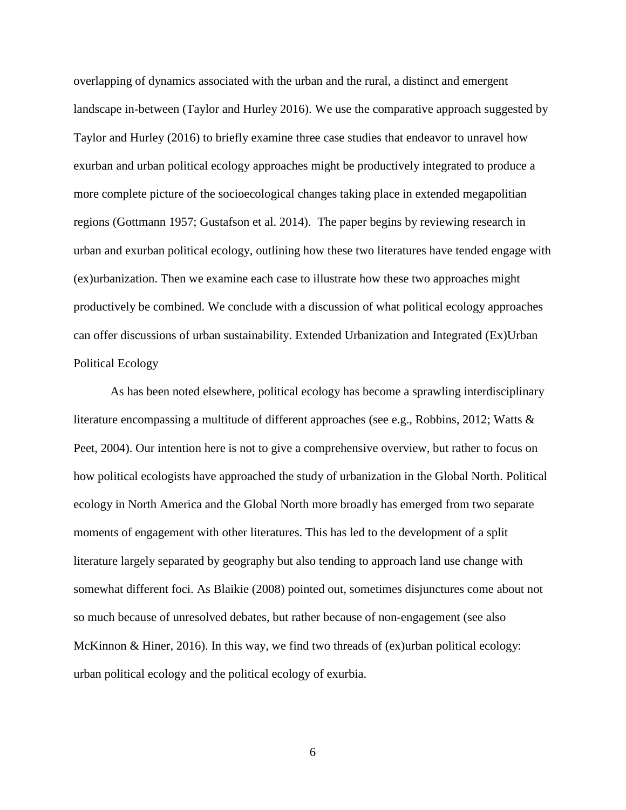overlapping of dynamics associated with the urban and the rural, a distinct and emergent landscape in-between (Taylor and Hurley 2016). We use the comparative approach suggested by Taylor and Hurley (2016) to briefly examine three case studies that endeavor to unravel how exurban and urban political ecology approaches might be productively integrated to produce a more complete picture of the socioecological changes taking place in extended megapolitian regions (Gottmann 1957; Gustafson et al. 2014). The paper begins by reviewing research in urban and exurban political ecology, outlining how these two literatures have tended engage with (ex)urbanization. Then we examine each case to illustrate how these two approaches might productively be combined. We conclude with a discussion of what political ecology approaches can offer discussions of urban sustainability. Extended Urbanization and Integrated (Ex)Urban Political Ecology

 As has been noted elsewhere, political ecology has become a sprawling interdisciplinary literature encompassing a multitude of different approaches (see e.g., Robbins, 2012; Watts & Peet, 2004). Our intention here is not to give a comprehensive overview, but rather to focus on how political ecologists have approached the study of urbanization in the Global North. Political ecology in North America and the Global North more broadly has emerged from two separate moments of engagement with other literatures. This has led to the development of a split literature largely separated by geography but also tending to approach land use change with somewhat different foci. As Blaikie (2008) pointed out, sometimes disjunctures come about not so much because of unresolved debates, but rather because of non-engagement (see also McKinnon & Hiner, 2016). In this way, we find two threads of (ex)urban political ecology: urban political ecology and the political ecology of exurbia.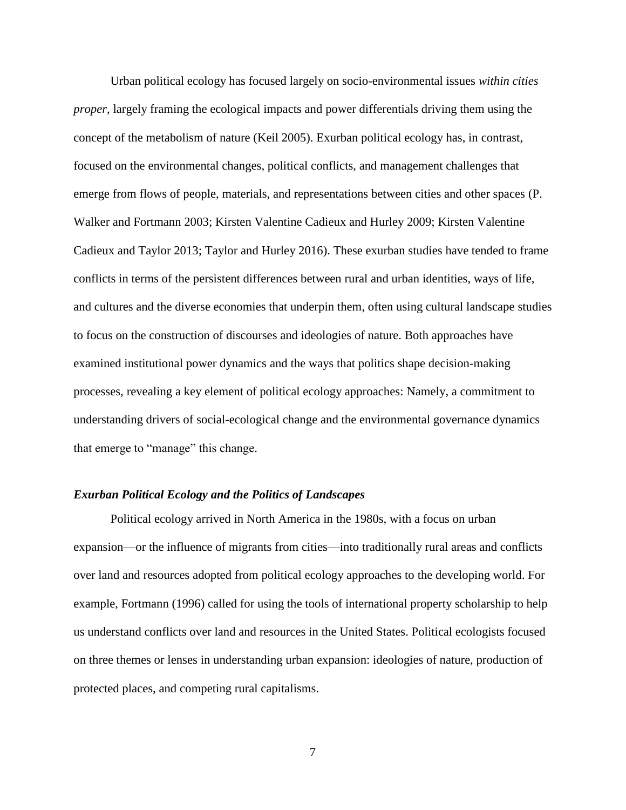Urban political ecology has focused largely on socio-environmental issues *within cities proper*, largely framing the ecological impacts and power differentials driving them using the concept of the metabolism of nature (Keil 2005). Exurban political ecology has, in contrast, focused on the environmental changes, political conflicts, and management challenges that emerge from flows of people, materials, and representations between cities and other spaces (P. Walker and Fortmann 2003; Kirsten Valentine Cadieux and Hurley 2009; Kirsten Valentine Cadieux and Taylor 2013; Taylor and Hurley 2016). These exurban studies have tended to frame conflicts in terms of the persistent differences between rural and urban identities, ways of life, and cultures and the diverse economies that underpin them, often using cultural landscape studies to focus on the construction of discourses and ideologies of nature. Both approaches have examined institutional power dynamics and the ways that politics shape decision-making processes, revealing a key element of political ecology approaches: Namely, a commitment to understanding drivers of social-ecological change and the environmental governance dynamics that emerge to "manage" this change.

#### *Exurban Political Ecology and the Politics of Landscapes*

 Political ecology arrived in North America in the 1980s, with a focus on urban expansion—or the influence of migrants from cities—into traditionally rural areas and conflicts over land and resources adopted from political ecology approaches to the developing world. For example, Fortmann (1996) called for using the tools of international property scholarship to help us understand conflicts over land and resources in the United States. Political ecologists focused on three themes or lenses in understanding urban expansion: ideologies of nature, production of protected places, and competing rural capitalisms.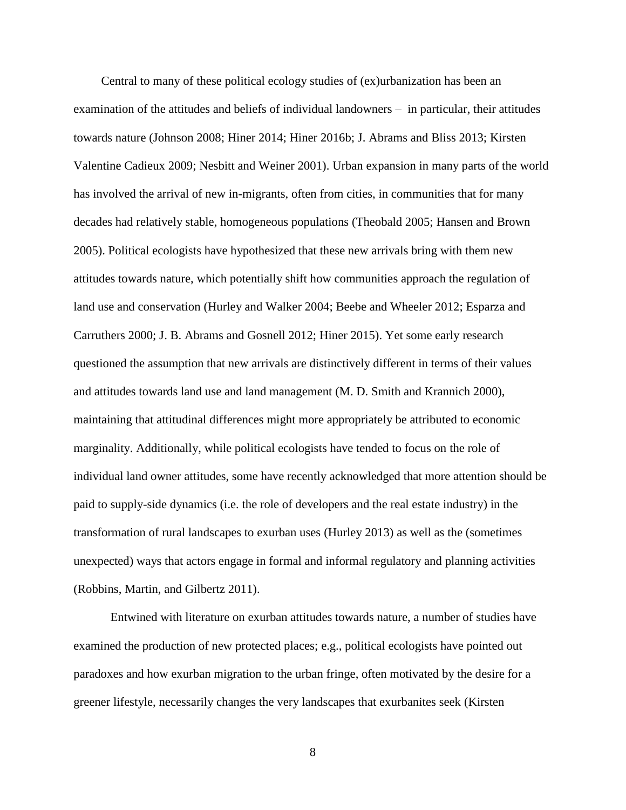Central to many of these political ecology studies of (ex)urbanization has been an examination of the attitudes and beliefs of individual landowners – in particular, their attitudes towards nature (Johnson 2008; Hiner 2014; Hiner 2016b; J. Abrams and Bliss 2013; Kirsten Valentine Cadieux 2009; Nesbitt and Weiner 2001). Urban expansion in many parts of the world has involved the arrival of new in-migrants, often from cities, in communities that for many decades had relatively stable, homogeneous populations (Theobald 2005; Hansen and Brown 2005). Political ecologists have hypothesized that these new arrivals bring with them new attitudes towards nature, which potentially shift how communities approach the regulation of land use and conservation (Hurley and Walker 2004; Beebe and Wheeler 2012; Esparza and Carruthers 2000; J. B. Abrams and Gosnell 2012; Hiner 2015). Yet some early research questioned the assumption that new arrivals are distinctively different in terms of their values and attitudes towards land use and land management (M. D. Smith and Krannich 2000), maintaining that attitudinal differences might more appropriately be attributed to economic marginality. Additionally, while political ecologists have tended to focus on the role of individual land owner attitudes, some have recently acknowledged that more attention should be paid to supply-side dynamics (i.e. the role of developers and the real estate industry) in the transformation of rural landscapes to exurban uses (Hurley 2013) as well as the (sometimes unexpected) ways that actors engage in formal and informal regulatory and planning activities (Robbins, Martin, and Gilbertz 2011).

 Entwined with literature on exurban attitudes towards nature, a number of studies have examined the production of new protected places; e.g., political ecologists have pointed out paradoxes and how exurban migration to the urban fringe, often motivated by the desire for a greener lifestyle, necessarily changes the very landscapes that exurbanites seek (Kirsten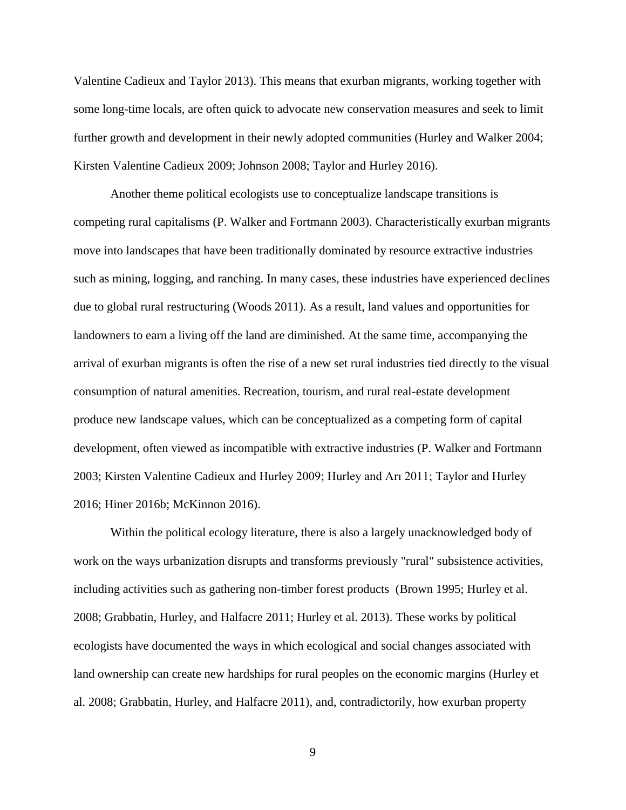Valentine Cadieux and Taylor 2013). This means that exurban migrants, working together with some long-time locals, are often quick to advocate new conservation measures and seek to limit further growth and development in their newly adopted communities (Hurley and Walker 2004; Kirsten Valentine Cadieux 2009; Johnson 2008; Taylor and Hurley 2016).

 Another theme political ecologists use to conceptualize landscape transitions is competing rural capitalisms (P. Walker and Fortmann 2003). Characteristically exurban migrants move into landscapes that have been traditionally dominated by resource extractive industries such as mining, logging, and ranching. In many cases, these industries have experienced declines due to global rural restructuring (Woods 2011). As a result, land values and opportunities for landowners to earn a living off the land are diminished. At the same time, accompanying the arrival of exurban migrants is often the rise of a new set rural industries tied directly to the visual consumption of natural amenities. Recreation, tourism, and rural real-estate development produce new landscape values, which can be conceptualized as a competing form of capital development, often viewed as incompatible with extractive industries (P. Walker and Fortmann 2003; Kirsten Valentine Cadieux and Hurley 2009; Hurley and Arı 2011; Taylor and Hurley 2016; Hiner 2016b; McKinnon 2016).

 Within the political ecology literature, there is also a largely unacknowledged body of work on the ways urbanization disrupts and transforms previously "rural" subsistence activities, including activities such as gathering non-timber forest products (Brown 1995; Hurley et al. 2008; Grabbatin, Hurley, and Halfacre 2011; Hurley et al. 2013). These works by political ecologists have documented the ways in which ecological and social changes associated with land ownership can create new hardships for rural peoples on the economic margins (Hurley et al. 2008; Grabbatin, Hurley, and Halfacre 2011), and, contradictorily, how exurban property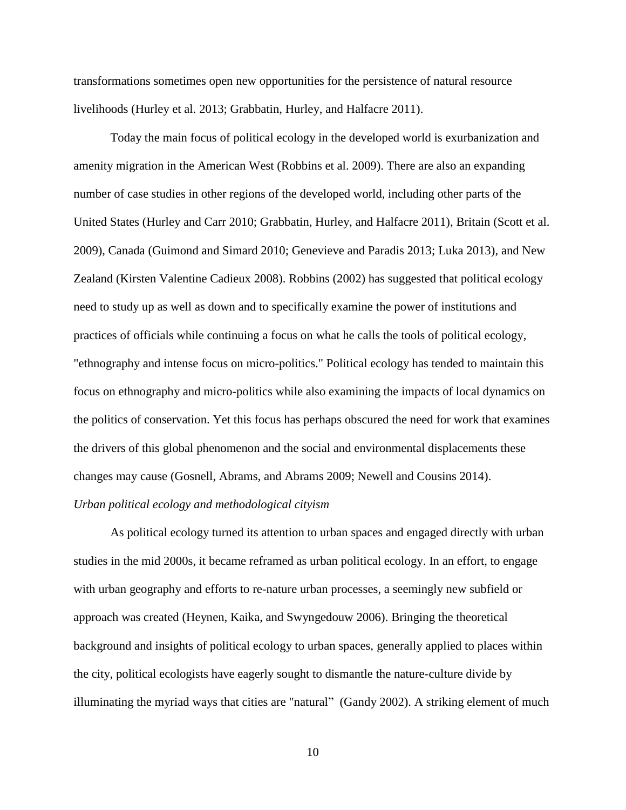transformations sometimes open new opportunities for the persistence of natural resource livelihoods (Hurley et al. 2013; Grabbatin, Hurley, and Halfacre 2011).

Today the main focus of political ecology in the developed world is exurbanization and amenity migration in the American West (Robbins et al. 2009). There are also an expanding number of case studies in other regions of the developed world, including other parts of the United States (Hurley and Carr 2010; Grabbatin, Hurley, and Halfacre 2011), Britain (Scott et al. 2009), Canada (Guimond and Simard 2010; Genevieve and Paradis 2013; Luka 2013), and New Zealand (Kirsten Valentine Cadieux 2008). Robbins (2002) has suggested that political ecology need to study up as well as down and to specifically examine the power of institutions and practices of officials while continuing a focus on what he calls the tools of political ecology, "ethnography and intense focus on micro-politics." Political ecology has tended to maintain this focus on ethnography and micro-politics while also examining the impacts of local dynamics on the politics of conservation. Yet this focus has perhaps obscured the need for work that examines the drivers of this global phenomenon and the social and environmental displacements these changes may cause (Gosnell, Abrams, and Abrams 2009; Newell and Cousins 2014).

#### *Urban political ecology and methodological cityism*

 As political ecology turned its attention to urban spaces and engaged directly with urban studies in the mid 2000s, it became reframed as urban political ecology. In an effort, to engage with urban geography and efforts to re-nature urban processes, a seemingly new subfield or approach was created (Heynen, Kaika, and Swyngedouw 2006). Bringing the theoretical background and insights of political ecology to urban spaces, generally applied to places within the city, political ecologists have eagerly sought to dismantle the nature-culture divide by illuminating the myriad ways that cities are "natural" (Gandy 2002). A striking element of much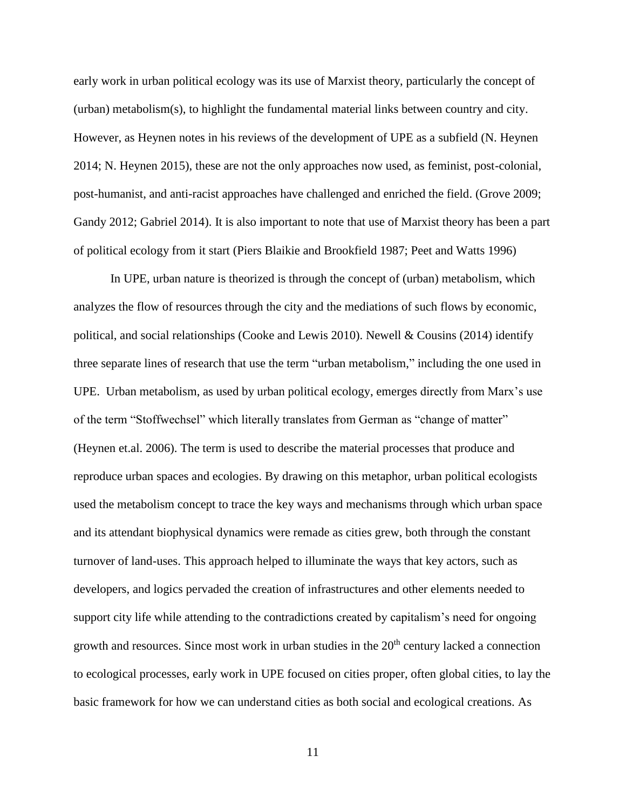early work in urban political ecology was its use of Marxist theory, particularly the concept of (urban) metabolism(s), to highlight the fundamental material links between country and city. However, as Heynen notes in his reviews of the development of UPE as a subfield (N. Heynen 2014; N. Heynen 2015), these are not the only approaches now used, as feminist, post-colonial, post-humanist, and anti-racist approaches have challenged and enriched the field. (Grove 2009; Gandy 2012; Gabriel 2014). It is also important to note that use of Marxist theory has been a part of political ecology from it start (Piers Blaikie and Brookfield 1987; Peet and Watts 1996)

In UPE, urban nature is theorized is through the concept of (urban) metabolism, which analyzes the flow of resources through the city and the mediations of such flows by economic, political, and social relationships (Cooke and Lewis 2010). Newell & Cousins (2014) identify three separate lines of research that use the term "urban metabolism," including the one used in UPE. Urban metabolism, as used by urban political ecology, emerges directly from Marx's use of the term "Stoffwechsel" which literally translates from German as "change of matter" (Heynen et.al. 2006). The term is used to describe the material processes that produce and reproduce urban spaces and ecologies. By drawing on this metaphor, urban political ecologists used the metabolism concept to trace the key ways and mechanisms through which urban space and its attendant biophysical dynamics were remade as cities grew, both through the constant turnover of land-uses. This approach helped to illuminate the ways that key actors, such as developers, and logics pervaded the creation of infrastructures and other elements needed to support city life while attending to the contradictions created by capitalism's need for ongoing growth and resources. Since most work in urban studies in the  $20<sup>th</sup>$  century lacked a connection to ecological processes, early work in UPE focused on cities proper, often global cities, to lay the basic framework for how we can understand cities as both social and ecological creations. As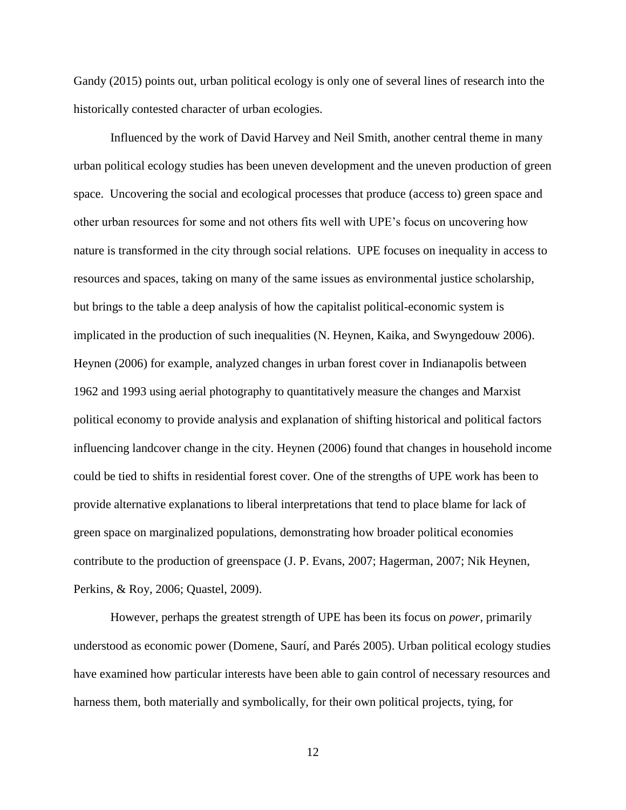Gandy (2015) points out, urban political ecology is only one of several lines of research into the historically contested character of urban ecologies.

 Influenced by the work of David Harvey and Neil Smith, another central theme in many urban political ecology studies has been uneven development and the uneven production of green space. Uncovering the social and ecological processes that produce (access to) green space and other urban resources for some and not others fits well with UPE's focus on uncovering how nature is transformed in the city through social relations. UPE focuses on inequality in access to resources and spaces, taking on many of the same issues as environmental justice scholarship, but brings to the table a deep analysis of how the capitalist political-economic system is implicated in the production of such inequalities (N. Heynen, Kaika, and Swyngedouw 2006). Heynen (2006) for example, analyzed changes in urban forest cover in Indianapolis between 1962 and 1993 using aerial photography to quantitatively measure the changes and Marxist political economy to provide analysis and explanation of shifting historical and political factors influencing landcover change in the city. Heynen (2006) found that changes in household income could be tied to shifts in residential forest cover. One of the strengths of UPE work has been to provide alternative explanations to liberal interpretations that tend to place blame for lack of green space on marginalized populations, demonstrating how broader political economies contribute to the production of greenspace (J. P. Evans, 2007; Hagerman, 2007; Nik Heynen, Perkins, & Roy, 2006; Quastel, 2009).

However, perhaps the greatest strength of UPE has been its focus on *power*, primarily understood as economic power (Domene, Saurí, and Parés 2005). Urban political ecology studies have examined how particular interests have been able to gain control of necessary resources and harness them, both materially and symbolically, for their own political projects, tying, for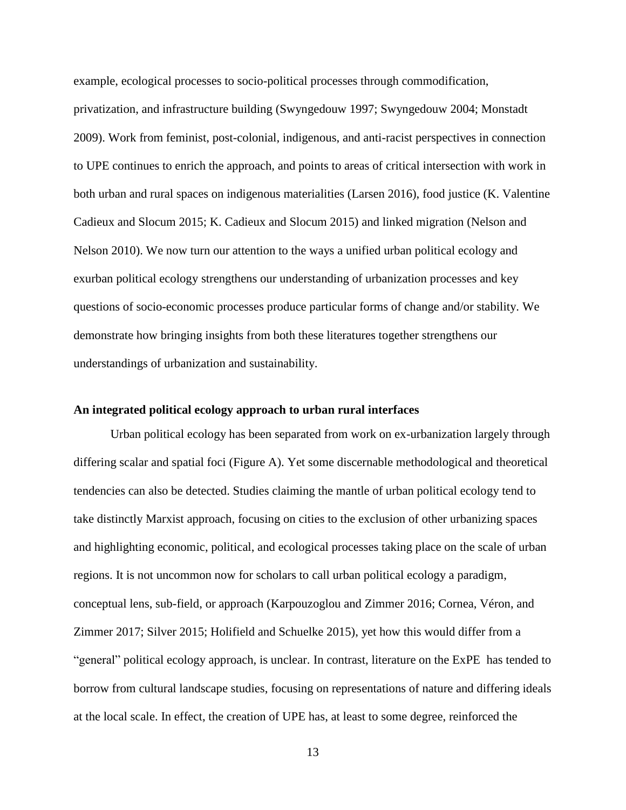example, ecological processes to socio-political processes through commodification,

privatization, and infrastructure building (Swyngedouw 1997; Swyngedouw 2004; Monstadt 2009). Work from feminist, post-colonial, indigenous, and anti-racist perspectives in connection to UPE continues to enrich the approach, and points to areas of critical intersection with work in both urban and rural spaces on indigenous materialities (Larsen 2016), food justice (K. Valentine Cadieux and Slocum 2015; K. Cadieux and Slocum 2015) and linked migration (Nelson and Nelson 2010). We now turn our attention to the ways a unified urban political ecology and exurban political ecology strengthens our understanding of urbanization processes and key questions of socio-economic processes produce particular forms of change and/or stability. We demonstrate how bringing insights from both these literatures together strengthens our understandings of urbanization and sustainability.

#### **An integrated political ecology approach to urban rural interfaces**

Urban political ecology has been separated from work on ex-urbanization largely through differing scalar and spatial foci (Figure A). Yet some discernable methodological and theoretical tendencies can also be detected. Studies claiming the mantle of urban political ecology tend to take distinctly Marxist approach, focusing on cities to the exclusion of other urbanizing spaces and highlighting economic, political, and ecological processes taking place on the scale of urban regions. It is not uncommon now for scholars to call urban political ecology a paradigm, conceptual lens, sub-field, or approach (Karpouzoglou and Zimmer 2016; Cornea, Véron, and Zimmer 2017; Silver 2015; Holifield and Schuelke 2015), yet how this would differ from a "general" political ecology approach, is unclear. In contrast, literature on the ExPE has tended to borrow from cultural landscape studies, focusing on representations of nature and differing ideals at the local scale. In effect, the creation of UPE has, at least to some degree, reinforced the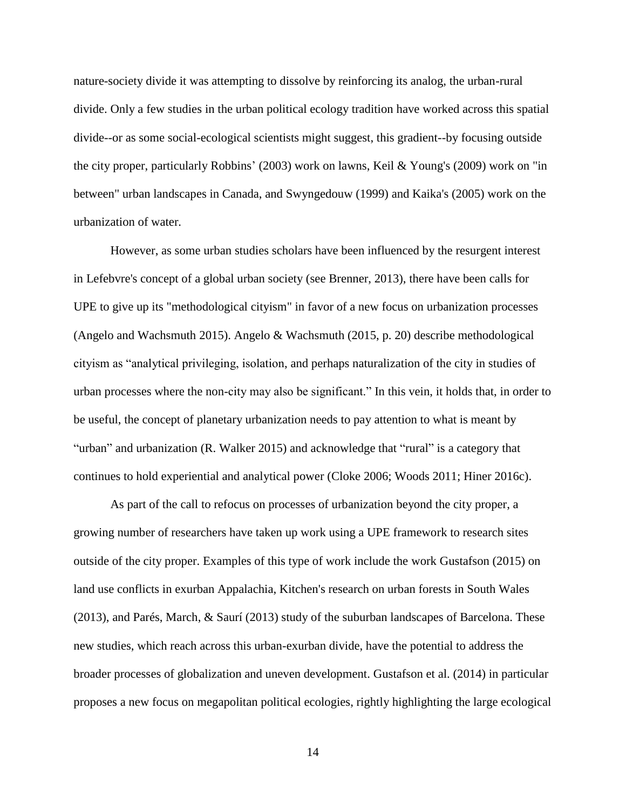nature-society divide it was attempting to dissolve by reinforcing its analog, the urban-rural divide. Only a few studies in the urban political ecology tradition have worked across this spatial divide--or as some social-ecological scientists might suggest, this gradient--by focusing outside the city proper, particularly Robbins' (2003) work on lawns, Keil & Young's (2009) work on "in between" urban landscapes in Canada, and Swyngedouw (1999) and Kaika's (2005) work on the urbanization of water.

However, as some urban studies scholars have been influenced by the resurgent interest in Lefebvre's concept of a global urban society (see Brenner, 2013), there have been calls for UPE to give up its "methodological cityism" in favor of a new focus on urbanization processes (Angelo and Wachsmuth 2015). Angelo & Wachsmuth (2015, p. 20) describe methodological cityism as "analytical privileging, isolation, and perhaps naturalization of the city in studies of urban processes where the non-city may also be significant." In this vein, it holds that, in order to be useful, the concept of planetary urbanization needs to pay attention to what is meant by "urban" and urbanization (R. Walker 2015) and acknowledge that "rural" is a category that continues to hold experiential and analytical power (Cloke 2006; Woods 2011; Hiner 2016c).

As part of the call to refocus on processes of urbanization beyond the city proper, a growing number of researchers have taken up work using a UPE framework to research sites outside of the city proper. Examples of this type of work include the work Gustafson (2015) on land use conflicts in exurban Appalachia, Kitchen's research on urban forests in South Wales (2013), and Parés, March, & Saurí (2013) study of the suburban landscapes of Barcelona. These new studies, which reach across this urban-exurban divide, have the potential to address the broader processes of globalization and uneven development. Gustafson et al. (2014) in particular proposes a new focus on megapolitan political ecologies, rightly highlighting the large ecological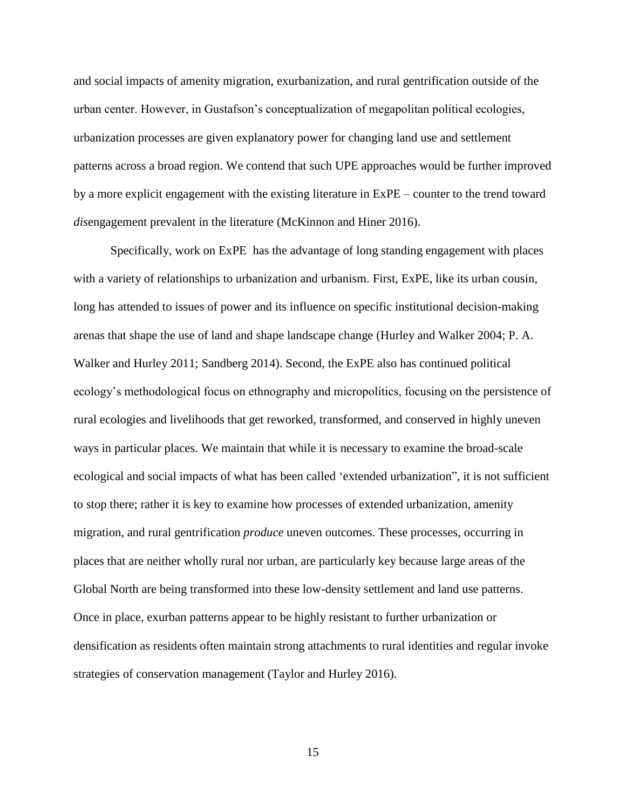and social impacts of amenity migration, exurbanization, and rural gentrification outside of the urban center. However, in Gustafson's conceptualization of megapolitan political ecologies, urbanization processes are given explanatory power for changing land use and settlement patterns across a broad region. We contend that such UPE approaches would be further improved by a more explicit engagement with the existing literature in ExPE – counter to the trend toward *dis*engagement prevalent in the literature (McKinnon and Hiner 2016).

Specifically, work on ExPE has the advantage of long standing engagement with places with a variety of relationships to urbanization and urbanism. First, ExPE, like its urban cousin, long has attended to issues of power and its influence on specific institutional decision-making arenas that shape the use of land and shape landscape change (Hurley and Walker 2004; P. A. Walker and Hurley 2011; Sandberg 2014). Second, the ExPE also has continued political ecology's methodological focus on ethnography and micropolitics, focusing on the persistence of rural ecologies and livelihoods that get reworked, transformed, and conserved in highly uneven ways in particular places. We maintain that while it is necessary to examine the broad-scale ecological and social impacts of what has been called 'extended urbanization", it is not sufficient to stop there; rather it is key to examine how processes of extended urbanization, amenity migration, and rural gentrification *produce* uneven outcomes. These processes, occurring in places that are neither wholly rural nor urban, are particularly key because large areas of the Global North are being transformed into these low-density settlement and land use patterns. Once in place, exurban patterns appear to be highly resistant to further urbanization or densification as residents often maintain strong attachments to rural identities and regular invoke strategies of conservation management (Taylor and Hurley 2016).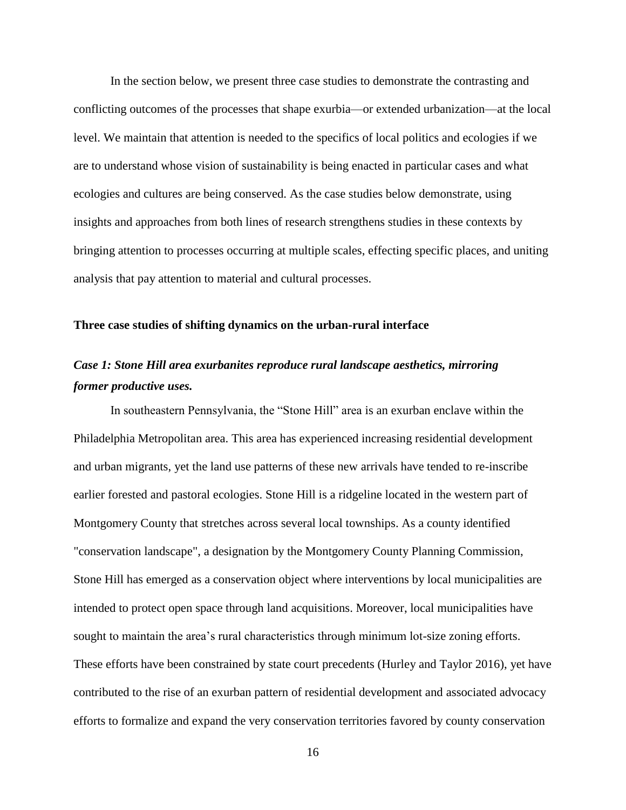In the section below, we present three case studies to demonstrate the contrasting and conflicting outcomes of the processes that shape exurbia—or extended urbanization—at the local level. We maintain that attention is needed to the specifics of local politics and ecologies if we are to understand whose vision of sustainability is being enacted in particular cases and what ecologies and cultures are being conserved. As the case studies below demonstrate, using insights and approaches from both lines of research strengthens studies in these contexts by bringing attention to processes occurring at multiple scales, effecting specific places, and uniting analysis that pay attention to material and cultural processes.

#### **Three case studies of shifting dynamics on the urban-rural interface**

# *Case 1: Stone Hill area exurbanites reproduce rural landscape aesthetics, mirroring former productive uses.*

In southeastern Pennsylvania, the "Stone Hill" area is an exurban enclave within the Philadelphia Metropolitan area. This area has experienced increasing residential development and urban migrants, yet the land use patterns of these new arrivals have tended to re-inscribe earlier forested and pastoral ecologies. Stone Hill is a ridgeline located in the western part of Montgomery County that stretches across several local townships. As a county identified "conservation landscape", a designation by the Montgomery County Planning Commission, Stone Hill has emerged as a conservation object where interventions by local municipalities are intended to protect open space through land acquisitions. Moreover, local municipalities have sought to maintain the area's rural characteristics through minimum lot-size zoning efforts. These efforts have been constrained by state court precedents (Hurley and Taylor 2016), yet have contributed to the rise of an exurban pattern of residential development and associated advocacy efforts to formalize and expand the very conservation territories favored by county conservation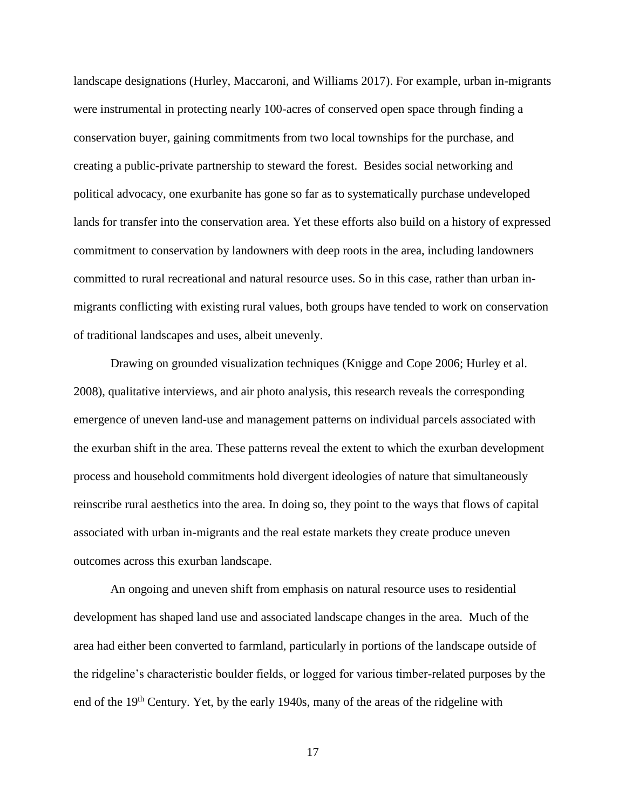landscape designations (Hurley, Maccaroni, and Williams 2017). For example, urban in-migrants were instrumental in protecting nearly 100-acres of conserved open space through finding a conservation buyer, gaining commitments from two local townships for the purchase, and creating a public-private partnership to steward the forest. Besides social networking and political advocacy, one exurbanite has gone so far as to systematically purchase undeveloped lands for transfer into the conservation area. Yet these efforts also build on a history of expressed commitment to conservation by landowners with deep roots in the area, including landowners committed to rural recreational and natural resource uses. So in this case, rather than urban inmigrants conflicting with existing rural values, both groups have tended to work on conservation of traditional landscapes and uses, albeit unevenly.

Drawing on grounded visualization techniques (Knigge and Cope 2006; Hurley et al. 2008), qualitative interviews, and air photo analysis, this research reveals the corresponding emergence of uneven land-use and management patterns on individual parcels associated with the exurban shift in the area. These patterns reveal the extent to which the exurban development process and household commitments hold divergent ideologies of nature that simultaneously reinscribe rural aesthetics into the area. In doing so, they point to the ways that flows of capital associated with urban in-migrants and the real estate markets they create produce uneven outcomes across this exurban landscape.

An ongoing and uneven shift from emphasis on natural resource uses to residential development has shaped land use and associated landscape changes in the area. Much of the area had either been converted to farmland, particularly in portions of the landscape outside of the ridgeline's characteristic boulder fields, or logged for various timber-related purposes by the end of the 19<sup>th</sup> Century. Yet, by the early 1940s, many of the areas of the ridgeline with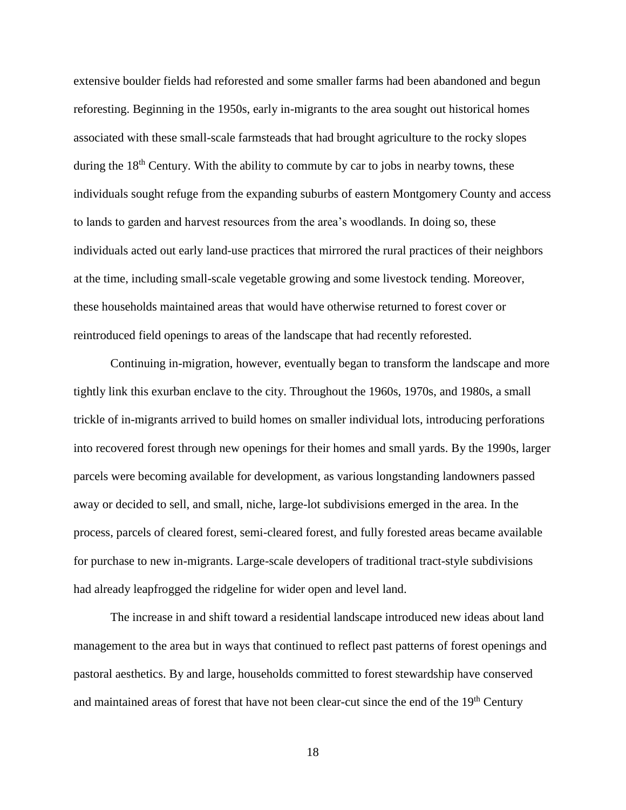extensive boulder fields had reforested and some smaller farms had been abandoned and begun reforesting. Beginning in the 1950s, early in-migrants to the area sought out historical homes associated with these small-scale farmsteads that had brought agriculture to the rocky slopes during the  $18<sup>th</sup>$  Century. With the ability to commute by car to jobs in nearby towns, these individuals sought refuge from the expanding suburbs of eastern Montgomery County and access to lands to garden and harvest resources from the area's woodlands. In doing so, these individuals acted out early land-use practices that mirrored the rural practices of their neighbors at the time, including small-scale vegetable growing and some livestock tending. Moreover, these households maintained areas that would have otherwise returned to forest cover or reintroduced field openings to areas of the landscape that had recently reforested.

Continuing in-migration, however, eventually began to transform the landscape and more tightly link this exurban enclave to the city. Throughout the 1960s, 1970s, and 1980s, a small trickle of in-migrants arrived to build homes on smaller individual lots, introducing perforations into recovered forest through new openings for their homes and small yards. By the 1990s, larger parcels were becoming available for development, as various longstanding landowners passed away or decided to sell, and small, niche, large-lot subdivisions emerged in the area. In the process, parcels of cleared forest, semi-cleared forest, and fully forested areas became available for purchase to new in-migrants. Large-scale developers of traditional tract-style subdivisions had already leapfrogged the ridgeline for wider open and level land.

The increase in and shift toward a residential landscape introduced new ideas about land management to the area but in ways that continued to reflect past patterns of forest openings and pastoral aesthetics. By and large, households committed to forest stewardship have conserved and maintained areas of forest that have not been clear-cut since the end of the 19<sup>th</sup> Century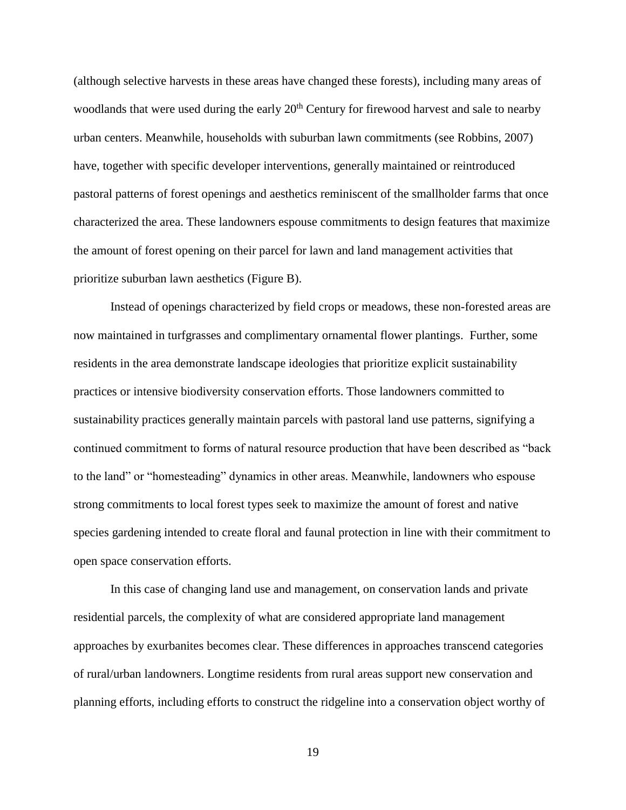(although selective harvests in these areas have changed these forests), including many areas of woodlands that were used during the early 20<sup>th</sup> Century for firewood harvest and sale to nearby urban centers. Meanwhile, households with suburban lawn commitments (see Robbins, 2007) have, together with specific developer interventions, generally maintained or reintroduced pastoral patterns of forest openings and aesthetics reminiscent of the smallholder farms that once characterized the area. These landowners espouse commitments to design features that maximize the amount of forest opening on their parcel for lawn and land management activities that prioritize suburban lawn aesthetics (Figure B).

Instead of openings characterized by field crops or meadows, these non-forested areas are now maintained in turfgrasses and complimentary ornamental flower plantings. Further, some residents in the area demonstrate landscape ideologies that prioritize explicit sustainability practices or intensive biodiversity conservation efforts. Those landowners committed to sustainability practices generally maintain parcels with pastoral land use patterns, signifying a continued commitment to forms of natural resource production that have been described as "back to the land" or "homesteading" dynamics in other areas. Meanwhile, landowners who espouse strong commitments to local forest types seek to maximize the amount of forest and native species gardening intended to create floral and faunal protection in line with their commitment to open space conservation efforts.

In this case of changing land use and management, on conservation lands and private residential parcels, the complexity of what are considered appropriate land management approaches by exurbanites becomes clear. These differences in approaches transcend categories of rural/urban landowners. Longtime residents from rural areas support new conservation and planning efforts, including efforts to construct the ridgeline into a conservation object worthy of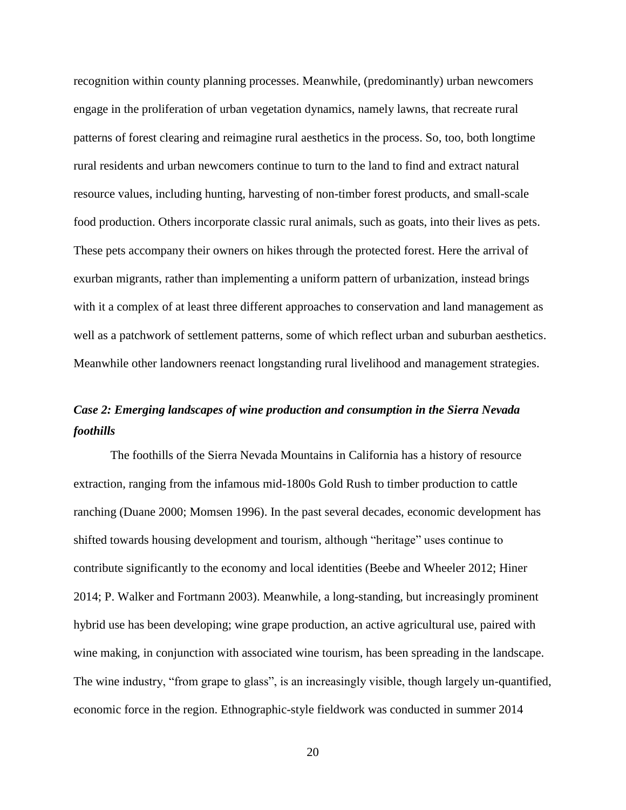recognition within county planning processes. Meanwhile, (predominantly) urban newcomers engage in the proliferation of urban vegetation dynamics, namely lawns, that recreate rural patterns of forest clearing and reimagine rural aesthetics in the process. So, too, both longtime rural residents and urban newcomers continue to turn to the land to find and extract natural resource values, including hunting, harvesting of non-timber forest products, and small-scale food production. Others incorporate classic rural animals, such as goats, into their lives as pets. These pets accompany their owners on hikes through the protected forest. Here the arrival of exurban migrants, rather than implementing a uniform pattern of urbanization, instead brings with it a complex of at least three different approaches to conservation and land management as well as a patchwork of settlement patterns, some of which reflect urban and suburban aesthetics. Meanwhile other landowners reenact longstanding rural livelihood and management strategies.

## *Case 2: Emerging landscapes of wine production and consumption in the Sierra Nevada foothills*

The foothills of the Sierra Nevada Mountains in California has a history of resource extraction, ranging from the infamous mid-1800s Gold Rush to timber production to cattle ranching (Duane 2000; Momsen 1996). In the past several decades, economic development has shifted towards housing development and tourism, although "heritage" uses continue to contribute significantly to the economy and local identities (Beebe and Wheeler 2012; Hiner 2014; P. Walker and Fortmann 2003). Meanwhile, a long-standing, but increasingly prominent hybrid use has been developing; wine grape production, an active agricultural use, paired with wine making, in conjunction with associated wine tourism, has been spreading in the landscape. The wine industry, "from grape to glass", is an increasingly visible, though largely un-quantified, economic force in the region. Ethnographic-style fieldwork was conducted in summer 2014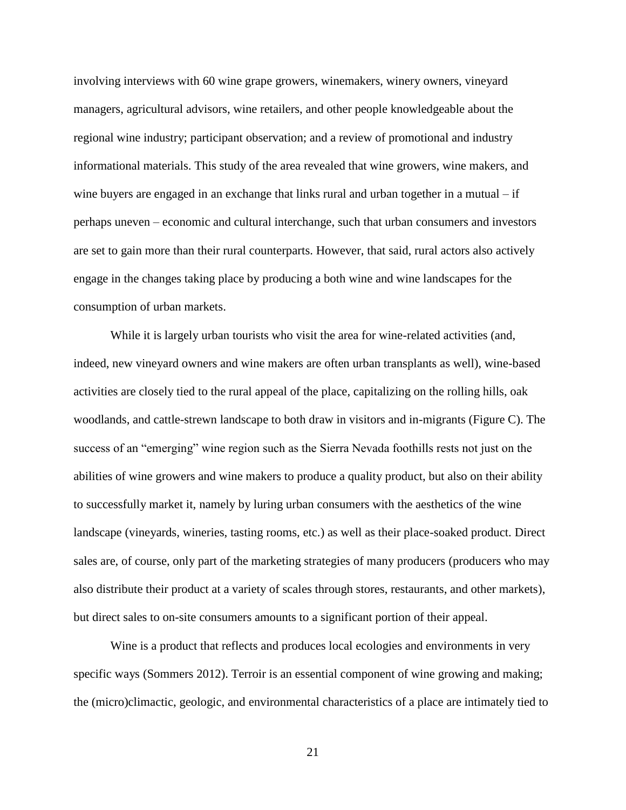involving interviews with 60 wine grape growers, winemakers, winery owners, vineyard managers, agricultural advisors, wine retailers, and other people knowledgeable about the regional wine industry; participant observation; and a review of promotional and industry informational materials. This study of the area revealed that wine growers, wine makers, and wine buyers are engaged in an exchange that links rural and urban together in a mutual – if perhaps uneven – economic and cultural interchange, such that urban consumers and investors are set to gain more than their rural counterparts. However, that said, rural actors also actively engage in the changes taking place by producing a both wine and wine landscapes for the consumption of urban markets.

While it is largely urban tourists who visit the area for wine-related activities (and, indeed, new vineyard owners and wine makers are often urban transplants as well), wine-based activities are closely tied to the rural appeal of the place, capitalizing on the rolling hills, oak woodlands, and cattle-strewn landscape to both draw in visitors and in-migrants (Figure C). The success of an "emerging" wine region such as the Sierra Nevada foothills rests not just on the abilities of wine growers and wine makers to produce a quality product, but also on their ability to successfully market it, namely by luring urban consumers with the aesthetics of the wine landscape (vineyards, wineries, tasting rooms, etc.) as well as their place-soaked product. Direct sales are, of course, only part of the marketing strategies of many producers (producers who may also distribute their product at a variety of scales through stores, restaurants, and other markets), but direct sales to on-site consumers amounts to a significant portion of their appeal.

Wine is a product that reflects and produces local ecologies and environments in very specific ways (Sommers 2012). Terroir is an essential component of wine growing and making; the (micro)climactic, geologic, and environmental characteristics of a place are intimately tied to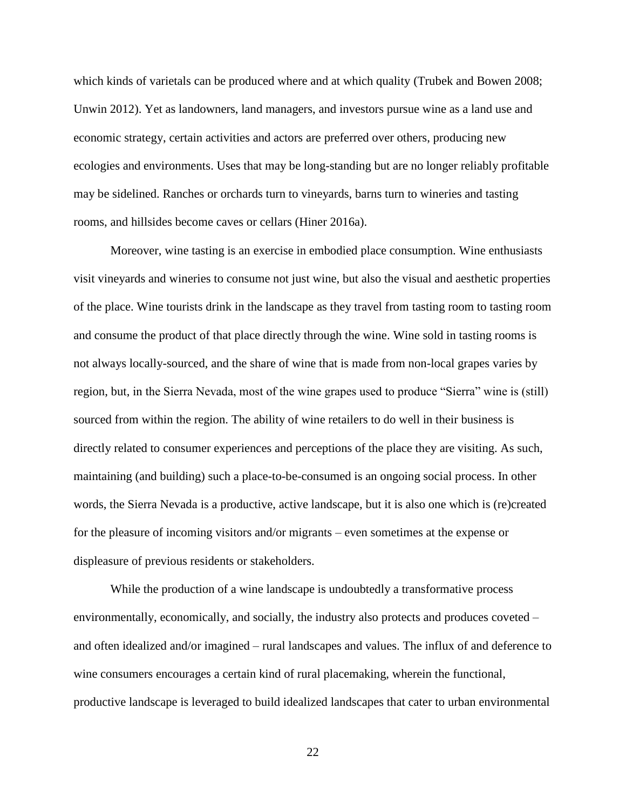which kinds of varietals can be produced where and at which quality (Trubek and Bowen 2008; Unwin 2012). Yet as landowners, land managers, and investors pursue wine as a land use and economic strategy, certain activities and actors are preferred over others, producing new ecologies and environments. Uses that may be long-standing but are no longer reliably profitable may be sidelined. Ranches or orchards turn to vineyards, barns turn to wineries and tasting rooms, and hillsides become caves or cellars (Hiner 2016a).

Moreover, wine tasting is an exercise in embodied place consumption. Wine enthusiasts visit vineyards and wineries to consume not just wine, but also the visual and aesthetic properties of the place. Wine tourists drink in the landscape as they travel from tasting room to tasting room and consume the product of that place directly through the wine. Wine sold in tasting rooms is not always locally-sourced, and the share of wine that is made from non-local grapes varies by region, but, in the Sierra Nevada, most of the wine grapes used to produce "Sierra" wine is (still) sourced from within the region. The ability of wine retailers to do well in their business is directly related to consumer experiences and perceptions of the place they are visiting. As such, maintaining (and building) such a place-to-be-consumed is an ongoing social process. In other words, the Sierra Nevada is a productive, active landscape, but it is also one which is (re)created for the pleasure of incoming visitors and/or migrants – even sometimes at the expense or displeasure of previous residents or stakeholders.

While the production of a wine landscape is undoubtedly a transformative process environmentally, economically, and socially, the industry also protects and produces coveted – and often idealized and/or imagined – rural landscapes and values. The influx of and deference to wine consumers encourages a certain kind of rural placemaking, wherein the functional, productive landscape is leveraged to build idealized landscapes that cater to urban environmental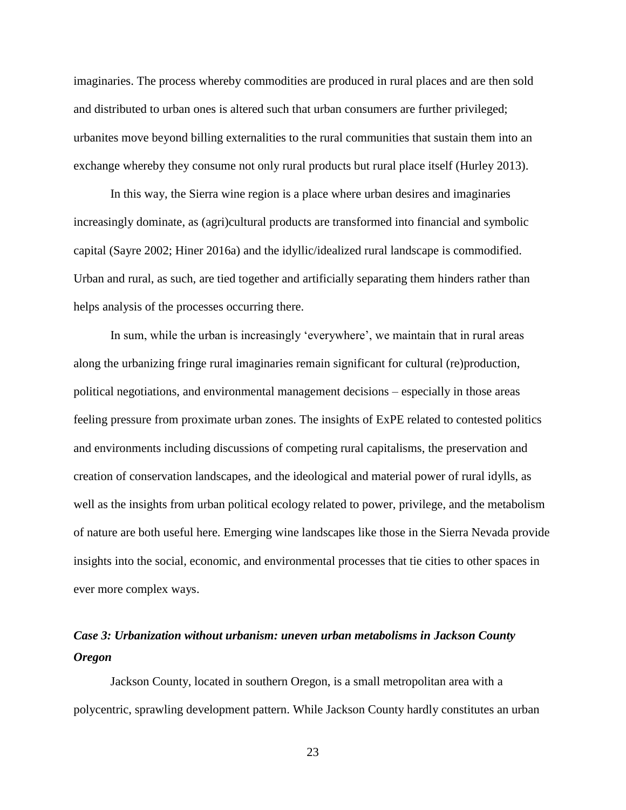imaginaries. The process whereby commodities are produced in rural places and are then sold and distributed to urban ones is altered such that urban consumers are further privileged; urbanites move beyond billing externalities to the rural communities that sustain them into an exchange whereby they consume not only rural products but rural place itself (Hurley 2013).

In this way, the Sierra wine region is a place where urban desires and imaginaries increasingly dominate, as (agri)cultural products are transformed into financial and symbolic capital (Sayre 2002; Hiner 2016a) and the idyllic/idealized rural landscape is commodified. Urban and rural, as such, are tied together and artificially separating them hinders rather than helps analysis of the processes occurring there.

In sum, while the urban is increasingly 'everywhere', we maintain that in rural areas along the urbanizing fringe rural imaginaries remain significant for cultural (re)production, political negotiations, and environmental management decisions – especially in those areas feeling pressure from proximate urban zones. The insights of ExPE related to contested politics and environments including discussions of competing rural capitalisms, the preservation and creation of conservation landscapes, and the ideological and material power of rural idylls, as well as the insights from urban political ecology related to power, privilege, and the metabolism of nature are both useful here. Emerging wine landscapes like those in the Sierra Nevada provide insights into the social, economic, and environmental processes that tie cities to other spaces in ever more complex ways.

# *Case 3: Urbanization without urbanism: uneven urban metabolisms in Jackson County Oregon*

 Jackson County, located in southern Oregon, is a small metropolitan area with a polycentric, sprawling development pattern. While Jackson County hardly constitutes an urban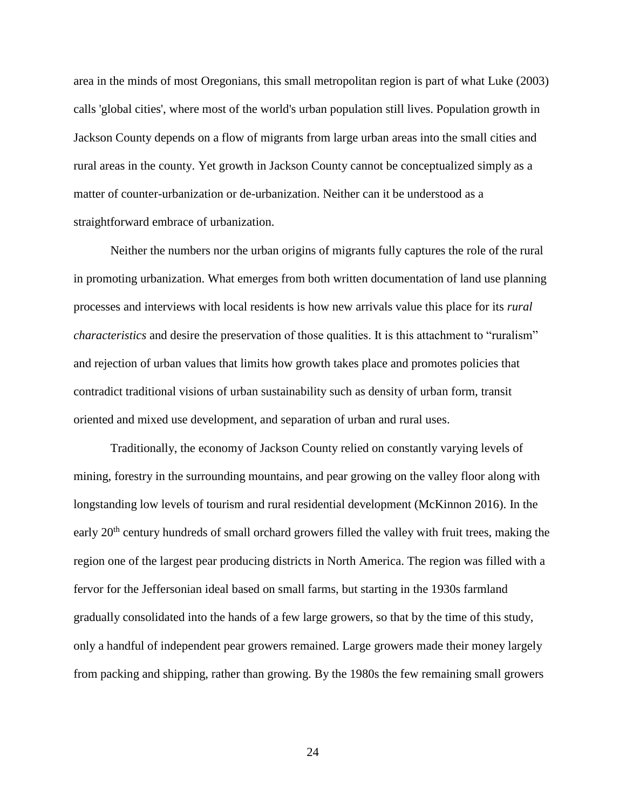area in the minds of most Oregonians, this small metropolitan region is part of what Luke (2003) calls 'global cities', where most of the world's urban population still lives. Population growth in Jackson County depends on a flow of migrants from large urban areas into the small cities and rural areas in the county. Yet growth in Jackson County cannot be conceptualized simply as a matter of counter-urbanization or de-urbanization. Neither can it be understood as a straightforward embrace of urbanization.

 Neither the numbers nor the urban origins of migrants fully captures the role of the rural in promoting urbanization. What emerges from both written documentation of land use planning processes and interviews with local residents is how new arrivals value this place for its *rural characteristics* and desire the preservation of those qualities. It is this attachment to "ruralism" and rejection of urban values that limits how growth takes place and promotes policies that contradict traditional visions of urban sustainability such as density of urban form, transit oriented and mixed use development, and separation of urban and rural uses.

Traditionally, the economy of Jackson County relied on constantly varying levels of mining, forestry in the surrounding mountains, and pear growing on the valley floor along with longstanding low levels of tourism and rural residential development (McKinnon 2016). In the early  $20<sup>th</sup>$  century hundreds of small orchard growers filled the valley with fruit trees, making the region one of the largest pear producing districts in North America. The region was filled with a fervor for the Jeffersonian ideal based on small farms, but starting in the 1930s farmland gradually consolidated into the hands of a few large growers, so that by the time of this study, only a handful of independent pear growers remained. Large growers made their money largely from packing and shipping, rather than growing. By the 1980s the few remaining small growers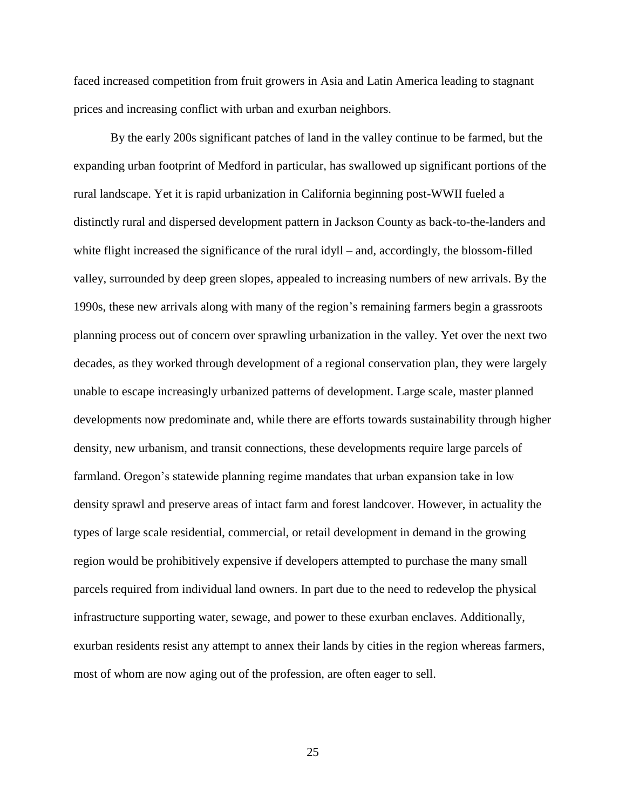faced increased competition from fruit growers in Asia and Latin America leading to stagnant prices and increasing conflict with urban and exurban neighbors.

By the early 200s significant patches of land in the valley continue to be farmed, but the expanding urban footprint of Medford in particular, has swallowed up significant portions of the rural landscape. Yet it is rapid urbanization in California beginning post-WWII fueled a distinctly rural and dispersed development pattern in Jackson County as back-to-the-landers and white flight increased the significance of the rural idyll – and, accordingly, the blossom-filled valley, surrounded by deep green slopes, appealed to increasing numbers of new arrivals. By the 1990s, these new arrivals along with many of the region's remaining farmers begin a grassroots planning process out of concern over sprawling urbanization in the valley. Yet over the next two decades, as they worked through development of a regional conservation plan, they were largely unable to escape increasingly urbanized patterns of development. Large scale, master planned developments now predominate and, while there are efforts towards sustainability through higher density, new urbanism, and transit connections, these developments require large parcels of farmland. Oregon's statewide planning regime mandates that urban expansion take in low density sprawl and preserve areas of intact farm and forest landcover. However, in actuality the types of large scale residential, commercial, or retail development in demand in the growing region would be prohibitively expensive if developers attempted to purchase the many small parcels required from individual land owners. In part due to the need to redevelop the physical infrastructure supporting water, sewage, and power to these exurban enclaves. Additionally, exurban residents resist any attempt to annex their lands by cities in the region whereas farmers, most of whom are now aging out of the profession, are often eager to sell.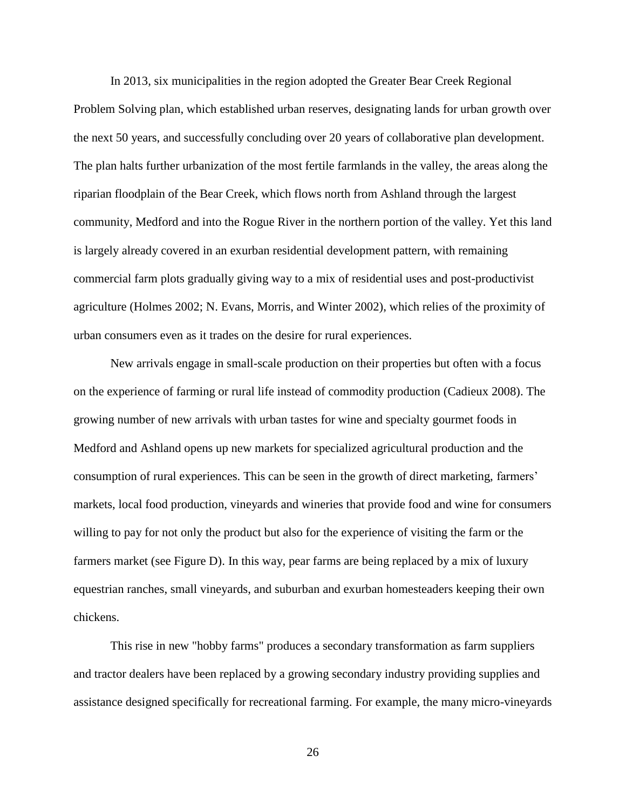In 2013, six municipalities in the region adopted the Greater Bear Creek Regional Problem Solving plan, which established urban reserves, designating lands for urban growth over the next 50 years, and successfully concluding over 20 years of collaborative plan development. The plan halts further urbanization of the most fertile farmlands in the valley, the areas along the riparian floodplain of the Bear Creek, which flows north from Ashland through the largest community, Medford and into the Rogue River in the northern portion of the valley. Yet this land is largely already covered in an exurban residential development pattern, with remaining commercial farm plots gradually giving way to a mix of residential uses and post-productivist agriculture (Holmes 2002; N. Evans, Morris, and Winter 2002), which relies of the proximity of urban consumers even as it trades on the desire for rural experiences.

New arrivals engage in small-scale production on their properties but often with a focus on the experience of farming or rural life instead of commodity production (Cadieux 2008). The growing number of new arrivals with urban tastes for wine and specialty gourmet foods in Medford and Ashland opens up new markets for specialized agricultural production and the consumption of rural experiences. This can be seen in the growth of direct marketing, farmers' markets, local food production, vineyards and wineries that provide food and wine for consumers willing to pay for not only the product but also for the experience of visiting the farm or the farmers market (see Figure D). In this way, pear farms are being replaced by a mix of luxury equestrian ranches, small vineyards, and suburban and exurban homesteaders keeping their own chickens.

This rise in new "hobby farms" produces a secondary transformation as farm suppliers and tractor dealers have been replaced by a growing secondary industry providing supplies and assistance designed specifically for recreational farming. For example, the many micro-vineyards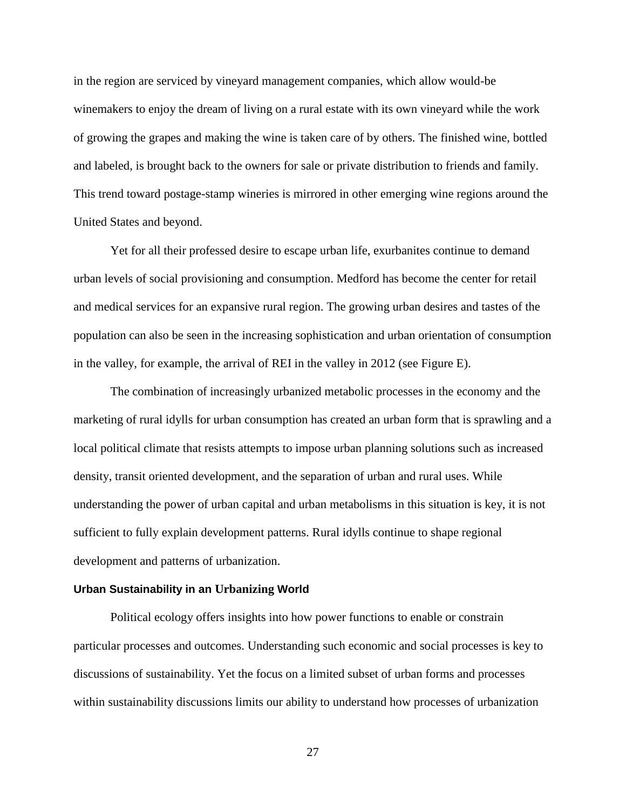in the region are serviced by vineyard management companies, which allow would-be winemakers to enjoy the dream of living on a rural estate with its own vineyard while the work of growing the grapes and making the wine is taken care of by others. The finished wine, bottled and labeled, is brought back to the owners for sale or private distribution to friends and family. This trend toward postage-stamp wineries is mirrored in other emerging wine regions around the United States and beyond.

 Yet for all their professed desire to escape urban life, exurbanites continue to demand urban levels of social provisioning and consumption. Medford has become the center for retail and medical services for an expansive rural region. The growing urban desires and tastes of the population can also be seen in the increasing sophistication and urban orientation of consumption in the valley, for example, the arrival of REI in the valley in 2012 (see Figure E).

The combination of increasingly urbanized metabolic processes in the economy and the marketing of rural idylls for urban consumption has created an urban form that is sprawling and a local political climate that resists attempts to impose urban planning solutions such as increased density, transit oriented development, and the separation of urban and rural uses. While understanding the power of urban capital and urban metabolisms in this situation is key, it is not sufficient to fully explain development patterns. Rural idylls continue to shape regional development and patterns of urbanization.

#### **Urban Sustainability in an Urbanizing World**

Political ecology offers insights into how power functions to enable or constrain particular processes and outcomes. Understanding such economic and social processes is key to discussions of sustainability. Yet the focus on a limited subset of urban forms and processes within sustainability discussions limits our ability to understand how processes of urbanization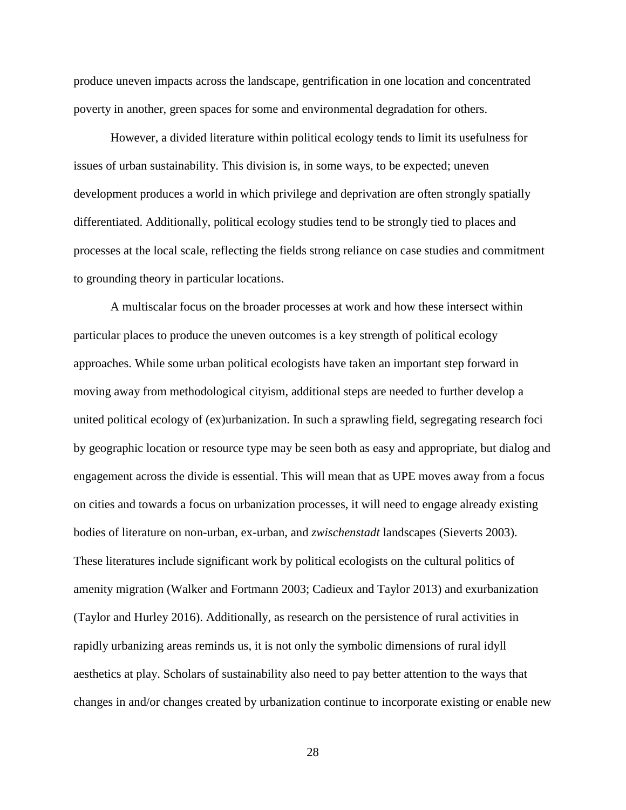produce uneven impacts across the landscape, gentrification in one location and concentrated poverty in another, green spaces for some and environmental degradation for others.

However, a divided literature within political ecology tends to limit its usefulness for issues of urban sustainability. This division is, in some ways, to be expected; uneven development produces a world in which privilege and deprivation are often strongly spatially differentiated. Additionally, political ecology studies tend to be strongly tied to places and processes at the local scale, reflecting the fields strong reliance on case studies and commitment to grounding theory in particular locations.

 A multiscalar focus on the broader processes at work and how these intersect within particular places to produce the uneven outcomes is a key strength of political ecology approaches. While some urban political ecologists have taken an important step forward in moving away from methodological cityism, additional steps are needed to further develop a united political ecology of (ex)urbanization. In such a sprawling field, segregating research foci by geographic location or resource type may be seen both as easy and appropriate, but dialog and engagement across the divide is essential. This will mean that as UPE moves away from a focus on cities and towards a focus on urbanization processes, it will need to engage already existing bodies of literature on non-urban, ex-urban, and *zwischenstadt* landscapes (Sieverts 2003). These literatures include significant work by political ecologists on the cultural politics of amenity migration (Walker and Fortmann 2003; Cadieux and Taylor 2013) and exurbanization (Taylor and Hurley 2016). Additionally, as research on the persistence of rural activities in rapidly urbanizing areas reminds us, it is not only the symbolic dimensions of rural idyll aesthetics at play. Scholars of sustainability also need to pay better attention to the ways that changes in and/or changes created by urbanization continue to incorporate existing or enable new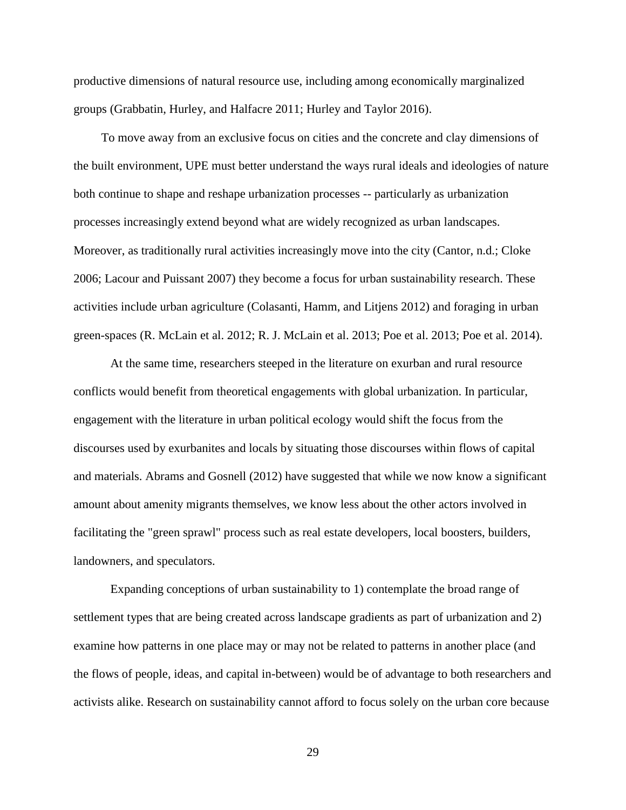productive dimensions of natural resource use, including among economically marginalized groups (Grabbatin, Hurley, and Halfacre 2011; Hurley and Taylor 2016).

 To move away from an exclusive focus on cities and the concrete and clay dimensions of the built environment, UPE must better understand the ways rural ideals and ideologies of nature both continue to shape and reshape urbanization processes -- particularly as urbanization processes increasingly extend beyond what are widely recognized as urban landscapes. Moreover, as traditionally rural activities increasingly move into the city (Cantor, n.d.; Cloke 2006; Lacour and Puissant 2007) they become a focus for urban sustainability research. These activities include urban agriculture (Colasanti, Hamm, and Litjens 2012) and foraging in urban green-spaces (R. McLain et al. 2012; R. J. McLain et al. 2013; Poe et al. 2013; Poe et al. 2014).

At the same time, researchers steeped in the literature on exurban and rural resource conflicts would benefit from theoretical engagements with global urbanization. In particular, engagement with the literature in urban political ecology would shift the focus from the discourses used by exurbanites and locals by situating those discourses within flows of capital and materials. Abrams and Gosnell (2012) have suggested that while we now know a significant amount about amenity migrants themselves, we know less about the other actors involved in facilitating the "green sprawl" process such as real estate developers, local boosters, builders, landowners, and speculators.

 Expanding conceptions of urban sustainability to 1) contemplate the broad range of settlement types that are being created across landscape gradients as part of urbanization and 2) examine how patterns in one place may or may not be related to patterns in another place (and the flows of people, ideas, and capital in-between) would be of advantage to both researchers and activists alike. Research on sustainability cannot afford to focus solely on the urban core because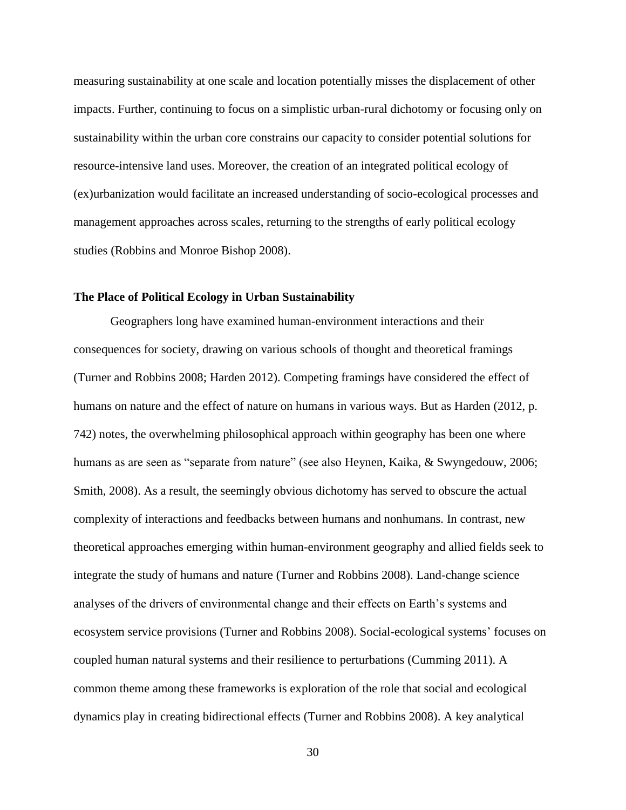measuring sustainability at one scale and location potentially misses the displacement of other impacts. Further, continuing to focus on a simplistic urban-rural dichotomy or focusing only on sustainability within the urban core constrains our capacity to consider potential solutions for resource-intensive land uses. Moreover, the creation of an integrated political ecology of (ex)urbanization would facilitate an increased understanding of socio-ecological processes and management approaches across scales, returning to the strengths of early political ecology studies (Robbins and Monroe Bishop 2008).

#### **The Place of Political Ecology in Urban Sustainability**

Geographers long have examined human-environment interactions and their consequences for society, drawing on various schools of thought and theoretical framings (Turner and Robbins 2008; Harden 2012). Competing framings have considered the effect of humans on nature and the effect of nature on humans in various ways. But as Harden (2012, p. 742) notes, the overwhelming philosophical approach within geography has been one where humans as are seen as "separate from nature" (see also Heynen, Kaika, & Swyngedouw, 2006; Smith, 2008). As a result, the seemingly obvious dichotomy has served to obscure the actual complexity of interactions and feedbacks between humans and nonhumans. In contrast, new theoretical approaches emerging within human-environment geography and allied fields seek to integrate the study of humans and nature (Turner and Robbins 2008). Land-change science analyses of the drivers of environmental change and their effects on Earth's systems and ecosystem service provisions (Turner and Robbins 2008). Social-ecological systems' focuses on coupled human natural systems and their resilience to perturbations (Cumming 2011). A common theme among these frameworks is exploration of the role that social and ecological dynamics play in creating bidirectional effects (Turner and Robbins 2008). A key analytical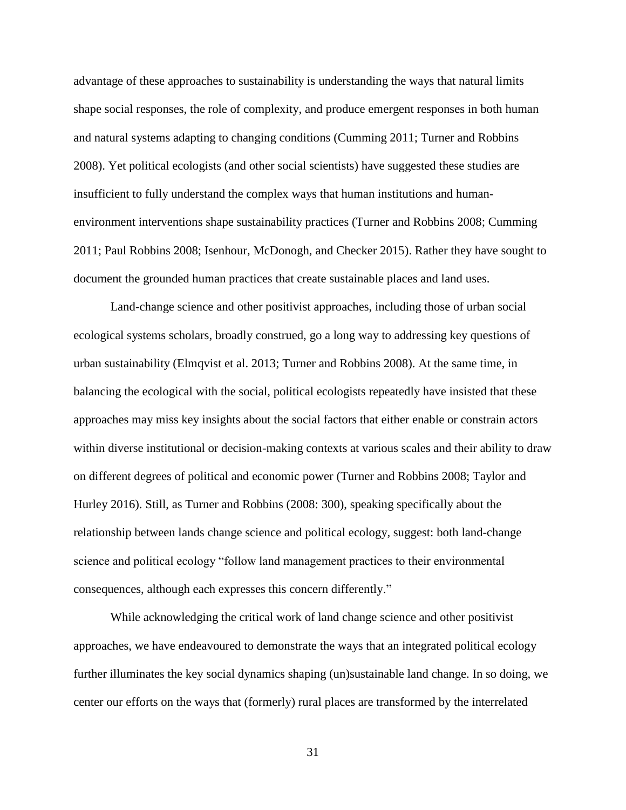advantage of these approaches to sustainability is understanding the ways that natural limits shape social responses, the role of complexity, and produce emergent responses in both human and natural systems adapting to changing conditions (Cumming 2011; Turner and Robbins 2008). Yet political ecologists (and other social scientists) have suggested these studies are insufficient to fully understand the complex ways that human institutions and humanenvironment interventions shape sustainability practices (Turner and Robbins 2008; Cumming 2011; Paul Robbins 2008; Isenhour, McDonogh, and Checker 2015). Rather they have sought to document the grounded human practices that create sustainable places and land uses.

Land-change science and other positivist approaches, including those of urban social ecological systems scholars, broadly construed, go a long way to addressing key questions of urban sustainability (Elmqvist et al. 2013; Turner and Robbins 2008). At the same time, in balancing the ecological with the social, political ecologists repeatedly have insisted that these approaches may miss key insights about the social factors that either enable or constrain actors within diverse institutional or decision-making contexts at various scales and their ability to draw on different degrees of political and economic power (Turner and Robbins 2008; Taylor and Hurley 2016). Still, as Turner and Robbins (2008: 300), speaking specifically about the relationship between lands change science and political ecology, suggest: both land-change science and political ecology "follow land management practices to their environmental consequences, although each expresses this concern differently."

While acknowledging the critical work of land change science and other positivist approaches, we have endeavoured to demonstrate the ways that an integrated political ecology further illuminates the key social dynamics shaping (un)sustainable land change. In so doing, we center our efforts on the ways that (formerly) rural places are transformed by the interrelated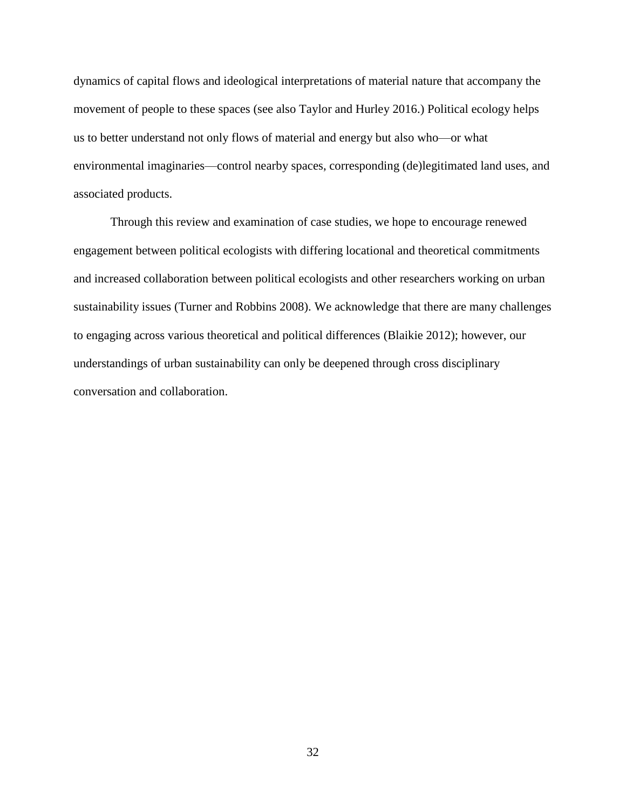dynamics of capital flows and ideological interpretations of material nature that accompany the movement of people to these spaces (see also Taylor and Hurley 2016.) Political ecology helps us to better understand not only flows of material and energy but also who—or what environmental imaginaries—control nearby spaces, corresponding (de)legitimated land uses, and associated products.

Through this review and examination of case studies, we hope to encourage renewed engagement between political ecologists with differing locational and theoretical commitments and increased collaboration between political ecologists and other researchers working on urban sustainability issues (Turner and Robbins 2008). We acknowledge that there are many challenges to engaging across various theoretical and political differences (Blaikie 2012); however, our understandings of urban sustainability can only be deepened through cross disciplinary conversation and collaboration.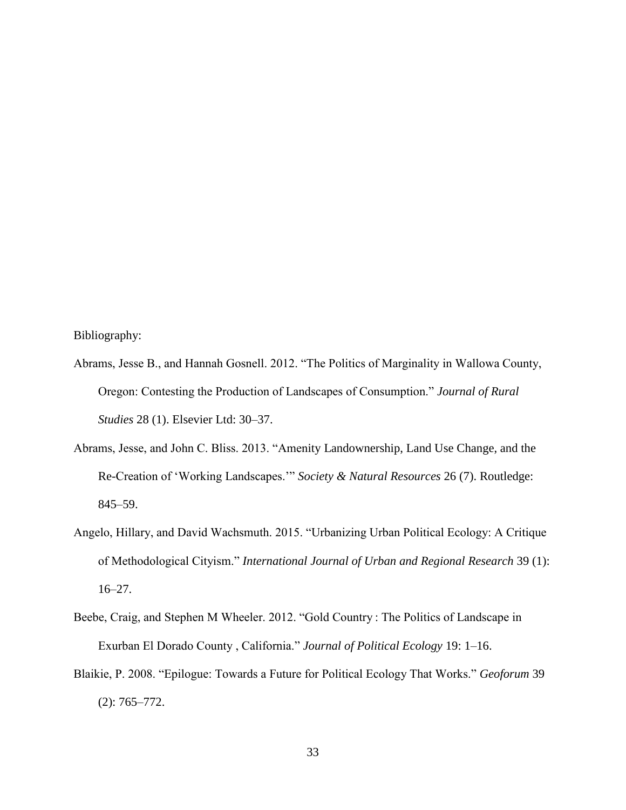Bibliography:

- Abrams, Jesse B., and Hannah Gosnell. 2012. "The Politics of Marginality in Wallowa County, Oregon: Contesting the Production of Landscapes of Consumption." *Journal of Rural Studies* 28 (1). Elsevier Ltd: 30–37.
- Abrams, Jesse, and John C. Bliss. 2013. "Amenity Landownership, Land Use Change, and the Re-Creation of 'Working Landscapes.'" *Society & Natural Resources* 26 (7). Routledge: 845–59.
- Angelo, Hillary, and David Wachsmuth. 2015. "Urbanizing Urban Political Ecology: A Critique of Methodological Cityism." *International Journal of Urban and Regional Research* 39 (1): 16–27.
- Beebe, Craig, and Stephen M Wheeler. 2012. "Gold Country : The Politics of Landscape in Exurban El Dorado County , California." *Journal of Political Ecology* 19: 1–16.
- Blaikie, P. 2008. "Epilogue: Towards a Future for Political Ecology That Works." *Geoforum* 39 (2): 765–772.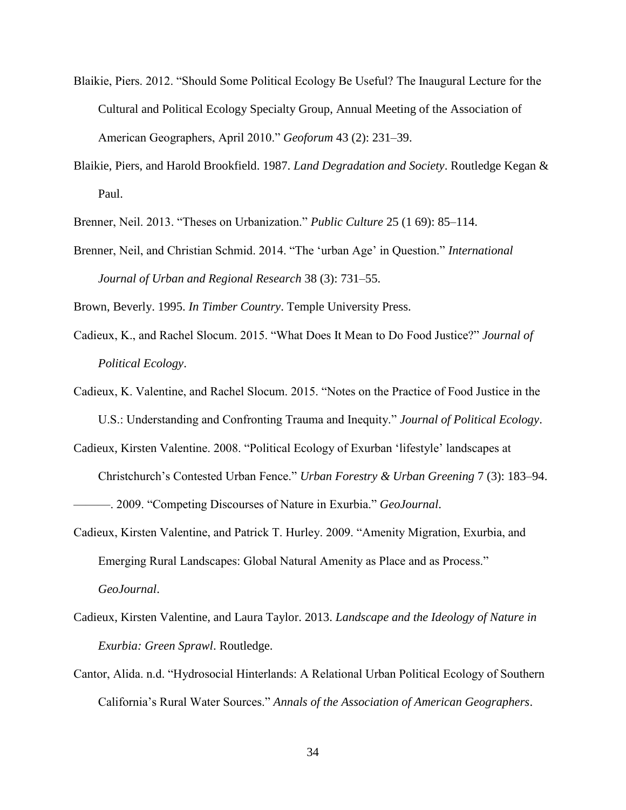- Blaikie, Piers. 2012. "Should Some Political Ecology Be Useful? The Inaugural Lecture for the Cultural and Political Ecology Specialty Group, Annual Meeting of the Association of American Geographers, April 2010." *Geoforum* 43 (2): 231–39.
- Blaikie, Piers, and Harold Brookfield. 1987. *Land Degradation and Society*. Routledge Kegan & Paul.
- Brenner, Neil. 2013. "Theses on Urbanization." *Public Culture* 25 (1 69): 85–114.
- Brenner, Neil, and Christian Schmid. 2014. "The 'urban Age' in Question." *International Journal of Urban and Regional Research* 38 (3): 731–55.

Brown, Beverly. 1995. *In Timber Country*. Temple University Press.

- Cadieux, K., and Rachel Slocum. 2015. "What Does It Mean to Do Food Justice?" *Journal of Political Ecology*.
- Cadieux, K. Valentine, and Rachel Slocum. 2015. "Notes on the Practice of Food Justice in the U.S.: Understanding and Confronting Trauma and Inequity." *Journal of Political Ecology*.
- Cadieux, Kirsten Valentine. 2008. "Political Ecology of Exurban 'lifestyle' landscapes at Christchurch's Contested Urban Fence." *Urban Forestry & Urban Greening* 7 (3): 183–94. ———. 2009. "Competing Discourses of Nature in Exurbia." *GeoJournal*.
- Cadieux, Kirsten Valentine, and Patrick T. Hurley. 2009. "Amenity Migration, Exurbia, and Emerging Rural Landscapes: Global Natural Amenity as Place and as Process." *GeoJournal*.
- Cadieux, Kirsten Valentine, and Laura Taylor. 2013. *Landscape and the Ideology of Nature in Exurbia: Green Sprawl*. Routledge.
- Cantor, Alida. n.d. "Hydrosocial Hinterlands: A Relational Urban Political Ecology of Southern California's Rural Water Sources." *Annals of the Association of American Geographers*.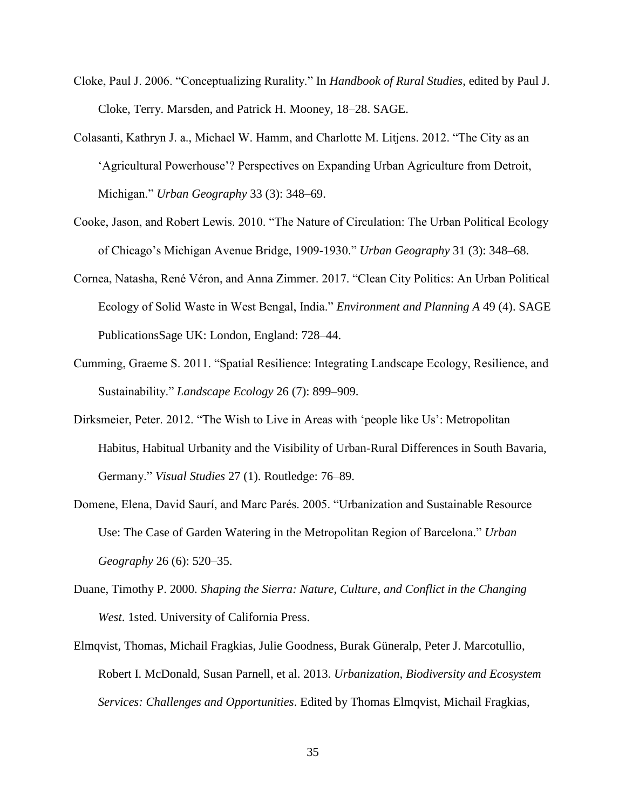- Cloke, Paul J. 2006. "Conceptualizing Rurality." In *Handbook of Rural Studies*, edited by Paul J. Cloke, Terry. Marsden, and Patrick H. Mooney, 18–28. SAGE.
- Colasanti, Kathryn J. a., Michael W. Hamm, and Charlotte M. Litjens. 2012. "The City as an 'Agricultural Powerhouse'? Perspectives on Expanding Urban Agriculture from Detroit, Michigan." *Urban Geography* 33 (3): 348–69.
- Cooke, Jason, and Robert Lewis. 2010. "The Nature of Circulation: The Urban Political Ecology of Chicago's Michigan Avenue Bridge, 1909-1930." *Urban Geography* 31 (3): 348–68.
- Cornea, Natasha, René Véron, and Anna Zimmer. 2017. "Clean City Politics: An Urban Political Ecology of Solid Waste in West Bengal, India." *Environment and Planning A* 49 (4). SAGE PublicationsSage UK: London, England: 728–44.
- Cumming, Graeme S. 2011. "Spatial Resilience: Integrating Landscape Ecology, Resilience, and Sustainability." *Landscape Ecology* 26 (7): 899–909.
- Dirksmeier, Peter. 2012. "The Wish to Live in Areas with 'people like Us': Metropolitan Habitus, Habitual Urbanity and the Visibility of Urban-Rural Differences in South Bavaria, Germany." *Visual Studies* 27 (1). Routledge: 76–89.
- Domene, Elena, David Saurí, and Marc Parés. 2005. "Urbanization and Sustainable Resource Use: The Case of Garden Watering in the Metropolitan Region of Barcelona." *Urban Geography* 26 (6): 520–35.
- Duane, Timothy P. 2000. *Shaping the Sierra: Nature, Culture, and Conflict in the Changing West*. 1sted. University of California Press.
- Elmqvist, Thomas, Michail Fragkias, Julie Goodness, Burak Güneralp, Peter J. Marcotullio, Robert I. McDonald, Susan Parnell, et al. 2013. *Urbanization, Biodiversity and Ecosystem Services: Challenges and Opportunities*. Edited by Thomas Elmqvist, Michail Fragkias,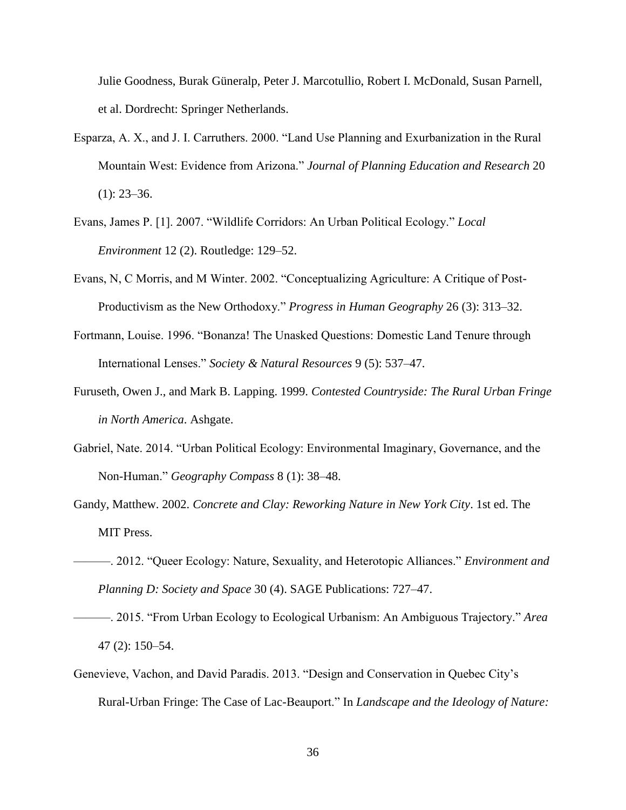Julie Goodness, Burak Güneralp, Peter J. Marcotullio, Robert I. McDonald, Susan Parnell, et al. Dordrecht: Springer Netherlands.

- Esparza, A. X., and J. I. Carruthers. 2000. "Land Use Planning and Exurbanization in the Rural Mountain West: Evidence from Arizona." *Journal of Planning Education and Research* 20  $(1)$ : 23–36.
- Evans, James P. [1]. 2007. "Wildlife Corridors: An Urban Political Ecology." *Local Environment* 12 (2). Routledge: 129–52.
- Evans, N, C Morris, and M Winter. 2002. "Conceptualizing Agriculture: A Critique of Post-Productivism as the New Orthodoxy." *Progress in Human Geography* 26 (3): 313–32.
- Fortmann, Louise. 1996. "Bonanza! The Unasked Questions: Domestic Land Tenure through International Lenses." *Society & Natural Resources* 9 (5): 537–47.
- Furuseth, Owen J., and Mark B. Lapping. 1999. *Contested Countryside: The Rural Urban Fringe in North America*. Ashgate.
- Gabriel, Nate. 2014. "Urban Political Ecology: Environmental Imaginary, Governance, and the Non-Human." *Geography Compass* 8 (1): 38–48.
- Gandy, Matthew. 2002. *Concrete and Clay: Reworking Nature in New York City*. 1st ed. The MIT Press.
- ———. 2012. "Queer Ecology: Nature, Sexuality, and Heterotopic Alliances." *Environment and Planning D: Society and Space* 30 (4). SAGE Publications: 727–47.
- ———. 2015. "From Urban Ecology to Ecological Urbanism: An Ambiguous Trajectory." *Area* 47 (2): 150–54.
- Genevieve, Vachon, and David Paradis. 2013. "Design and Conservation in Quebec City's Rural-Urban Fringe: The Case of Lac-Beauport." In *Landscape and the Ideology of Nature:*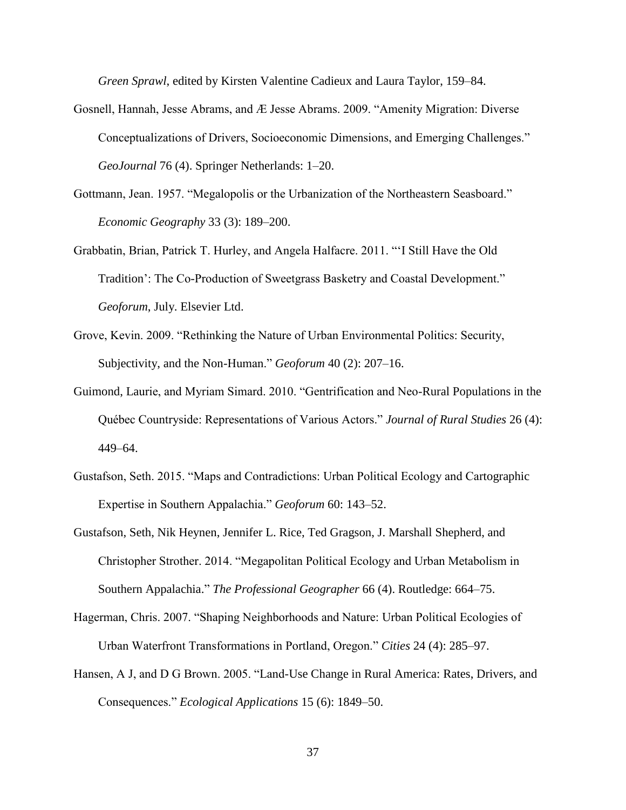*Green Sprawl*, edited by Kirsten Valentine Cadieux and Laura Taylor, 159–84.

- Gosnell, Hannah, Jesse Abrams, and Æ Jesse Abrams. 2009. "Amenity Migration: Diverse Conceptualizations of Drivers, Socioeconomic Dimensions, and Emerging Challenges." *GeoJournal* 76 (4). Springer Netherlands: 1–20.
- Gottmann, Jean. 1957. "Megalopolis or the Urbanization of the Northeastern Seasboard." *Economic Geography* 33 (3): 189–200.
- Grabbatin, Brian, Patrick T. Hurley, and Angela Halfacre. 2011. "'I Still Have the Old Tradition': The Co-Production of Sweetgrass Basketry and Coastal Development." *Geoforum*, July. Elsevier Ltd.
- Grove, Kevin. 2009. "Rethinking the Nature of Urban Environmental Politics: Security, Subjectivity, and the Non-Human." *Geoforum* 40 (2): 207–16.
- Guimond, Laurie, and Myriam Simard. 2010. "Gentrification and Neo-Rural Populations in the Québec Countryside: Representations of Various Actors." *Journal of Rural Studies* 26 (4): 449–64.
- Gustafson, Seth. 2015. "Maps and Contradictions: Urban Political Ecology and Cartographic Expertise in Southern Appalachia." *Geoforum* 60: 143–52.
- Gustafson, Seth, Nik Heynen, Jennifer L. Rice, Ted Gragson, J. Marshall Shepherd, and Christopher Strother. 2014. "Megapolitan Political Ecology and Urban Metabolism in Southern Appalachia." *The Professional Geographer* 66 (4). Routledge: 664–75.
- Hagerman, Chris. 2007. "Shaping Neighborhoods and Nature: Urban Political Ecologies of Urban Waterfront Transformations in Portland, Oregon." *Cities* 24 (4): 285–97.
- Hansen, A J, and D G Brown. 2005. "Land-Use Change in Rural America: Rates, Drivers, and Consequences." *Ecological Applications* 15 (6): 1849–50.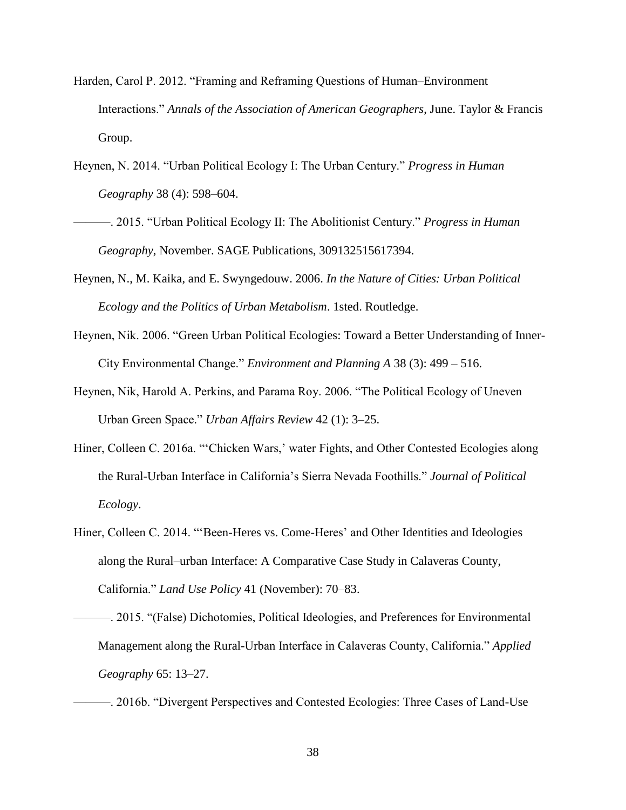- Harden, Carol P. 2012. "Framing and Reframing Questions of Human–Environment Interactions." *Annals of the Association of American Geographers*, June. Taylor & Francis Group.
- Heynen, N. 2014. "Urban Political Ecology I: The Urban Century." *Progress in Human Geography* 38 (4): 598–604.
- ———. 2015. "Urban Political Ecology II: The Abolitionist Century." *Progress in Human Geography*, November. SAGE Publications, 309132515617394.
- Heynen, N., M. Kaika, and E. Swyngedouw. 2006. *In the Nature of Cities: Urban Political Ecology and the Politics of Urban Metabolism*. 1sted. Routledge.
- Heynen, Nik. 2006. "Green Urban Political Ecologies: Toward a Better Understanding of Inner-City Environmental Change." *Environment and Planning A* 38 (3): 499 – 516.
- Heynen, Nik, Harold A. Perkins, and Parama Roy. 2006. "The Political Ecology of Uneven Urban Green Space." *Urban Affairs Review* 42 (1): 3–25.
- Hiner, Colleen C. 2016a. "'Chicken Wars,' water Fights, and Other Contested Ecologies along the Rural-Urban Interface in California's Sierra Nevada Foothills." *Journal of Political Ecology*.
- Hiner, Colleen C. 2014. "'Been-Heres vs. Come-Heres' and Other Identities and Ideologies along the Rural–urban Interface: A Comparative Case Study in Calaveras County, California." *Land Use Policy* 41 (November): 70–83.
- ———. 2015. "(False) Dichotomies, Political Ideologies, and Preferences for Environmental Management along the Rural-Urban Interface in Calaveras County, California." *Applied Geography* 65: 13–27.
- ———. 2016b. "Divergent Perspectives and Contested Ecologies: Three Cases of Land-Use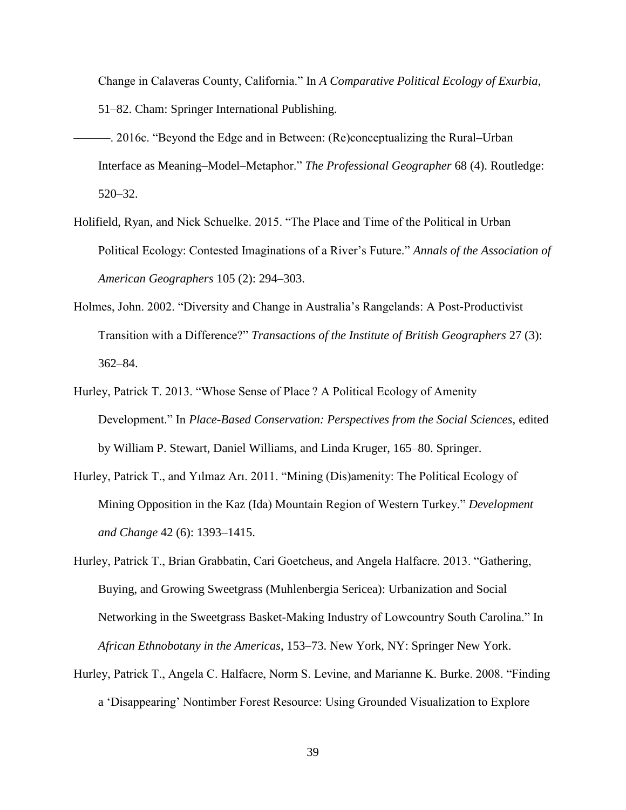Change in Calaveras County, California." In *A Comparative Political Ecology of Exurbia*, 51–82. Cham: Springer International Publishing.

- ———. 2016c. "Beyond the Edge and in Between: (Re)conceptualizing the Rural–Urban Interface as Meaning–Model–Metaphor." *The Professional Geographer* 68 (4). Routledge: 520–32.
- Holifield, Ryan, and Nick Schuelke. 2015. "The Place and Time of the Political in Urban Political Ecology: Contested Imaginations of a River's Future." *Annals of the Association of American Geographers* 105 (2): 294–303.
- Holmes, John. 2002. "Diversity and Change in Australia's Rangelands: A Post-Productivist Transition with a Difference?" *Transactions of the Institute of British Geographers* 27 (3): 362–84.
- Hurley, Patrick T. 2013. "Whose Sense of Place ? A Political Ecology of Amenity Development." In *Place-Based Conservation: Perspectives from the Social Sciences*, edited by William P. Stewart, Daniel Williams, and Linda Kruger, 165–80. Springer.
- Hurley, Patrick T., and Yılmaz Arı. 2011. "Mining (Dis)amenity: The Political Ecology of Mining Opposition in the Kaz (Ida) Mountain Region of Western Turkey." *Development and Change* 42 (6): 1393–1415.
- Hurley, Patrick T., Brian Grabbatin, Cari Goetcheus, and Angela Halfacre. 2013. "Gathering, Buying, and Growing Sweetgrass (Muhlenbergia Sericea): Urbanization and Social Networking in the Sweetgrass Basket-Making Industry of Lowcountry South Carolina." In *African Ethnobotany in the Americas*, 153–73. New York, NY: Springer New York.
- Hurley, Patrick T., Angela C. Halfacre, Norm S. Levine, and Marianne K. Burke. 2008. "Finding a 'Disappearing' Nontimber Forest Resource: Using Grounded Visualization to Explore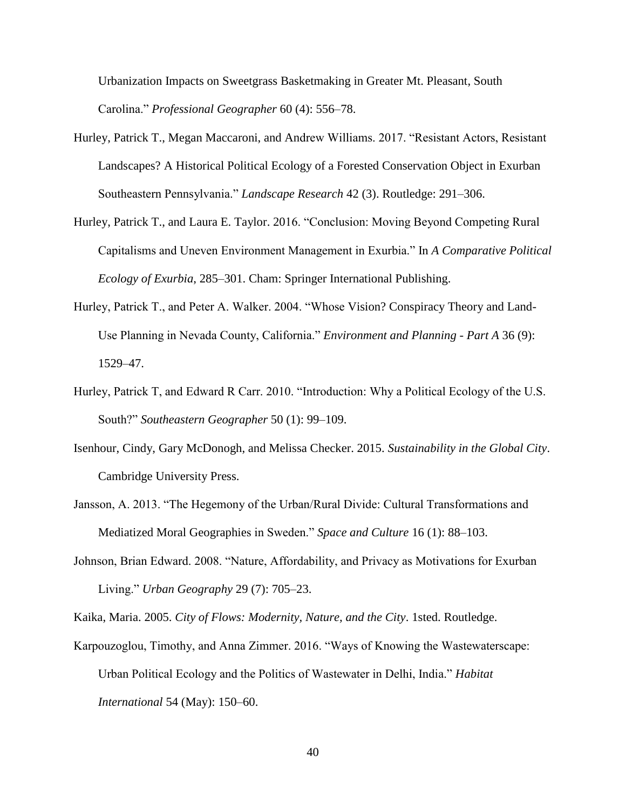Urbanization Impacts on Sweetgrass Basketmaking in Greater Mt. Pleasant, South Carolina." *Professional Geographer* 60 (4): 556–78.

- Hurley, Patrick T., Megan Maccaroni, and Andrew Williams. 2017. "Resistant Actors, Resistant Landscapes? A Historical Political Ecology of a Forested Conservation Object in Exurban Southeastern Pennsylvania." *Landscape Research* 42 (3). Routledge: 291–306.
- Hurley, Patrick T., and Laura E. Taylor. 2016. "Conclusion: Moving Beyond Competing Rural Capitalisms and Uneven Environment Management in Exurbia." In *A Comparative Political Ecology of Exurbia*, 285–301. Cham: Springer International Publishing.
- Hurley, Patrick T., and Peter A. Walker. 2004. "Whose Vision? Conspiracy Theory and Land-Use Planning in Nevada County, California." *Environment and Planning - Part A* 36 (9): 1529–47.
- Hurley, Patrick T, and Edward R Carr. 2010. "Introduction: Why a Political Ecology of the U.S. South?" *Southeastern Geographer* 50 (1): 99–109.
- Isenhour, Cindy, Gary McDonogh, and Melissa Checker. 2015. *Sustainability in the Global City*. Cambridge University Press.
- Jansson, A. 2013. "The Hegemony of the Urban/Rural Divide: Cultural Transformations and Mediatized Moral Geographies in Sweden." *Space and Culture* 16 (1): 88–103.
- Johnson, Brian Edward. 2008. "Nature, Affordability, and Privacy as Motivations for Exurban Living." *Urban Geography* 29 (7): 705–23.

Kaika, Maria. 2005. *City of Flows: Modernity, Nature, and the City*. 1sted. Routledge.

Karpouzoglou, Timothy, and Anna Zimmer. 2016. "Ways of Knowing the Wastewaterscape: Urban Political Ecology and the Politics of Wastewater in Delhi, India." *Habitat International* 54 (May): 150–60.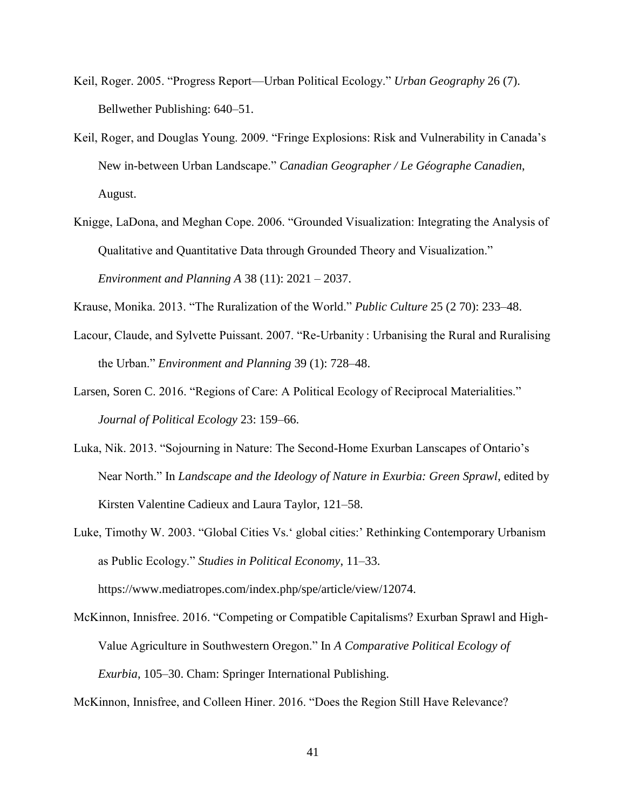- Keil, Roger. 2005. "Progress Report—Urban Political Ecology." *Urban Geography* 26 (7). Bellwether Publishing: 640–51.
- Keil, Roger, and Douglas Young. 2009. "Fringe Explosions: Risk and Vulnerability in Canada's New in-between Urban Landscape." *Canadian Geographer / Le Géographe Canadien*, August.
- Knigge, LaDona, and Meghan Cope. 2006. "Grounded Visualization: Integrating the Analysis of Qualitative and Quantitative Data through Grounded Theory and Visualization." *Environment and Planning A* 38 (11): 2021 – 2037.
- Krause, Monika. 2013. "The Ruralization of the World." *Public Culture* 25 (2 70): 233–48.
- Lacour, Claude, and Sylvette Puissant. 2007. "Re-Urbanity : Urbanising the Rural and Ruralising the Urban." *Environment and Planning* 39 (1): 728–48.
- Larsen, Soren C. 2016. "Regions of Care: A Political Ecology of Reciprocal Materialities." *Journal of Political Ecology* 23: 159–66.
- Luka, Nik. 2013. "Sojourning in Nature: The Second-Home Exurban Lanscapes of Ontario's Near North." In *Landscape and the Ideology of Nature in Exurbia: Green Sprawl*, edited by Kirsten Valentine Cadieux and Laura Taylor, 121–58.

Luke, Timothy W. 2003. "Global Cities Vs.' global cities:' Rethinking Contemporary Urbanism as Public Ecology." *Studies in Political Economy*, 11–33. https://www.mediatropes.com/index.php/spe/article/view/12074.

McKinnon, Innisfree. 2016. "Competing or Compatible Capitalisms? Exurban Sprawl and High-Value Agriculture in Southwestern Oregon." In *A Comparative Political Ecology of Exurbia*, 105–30. Cham: Springer International Publishing.

McKinnon, Innisfree, and Colleen Hiner. 2016. "Does the Region Still Have Relevance?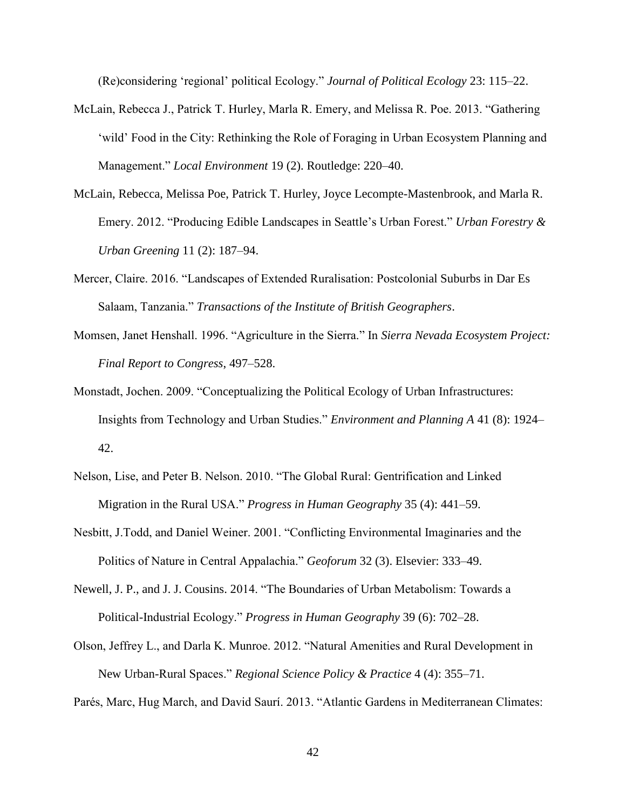(Re)considering 'regional' political Ecology." *Journal of Political Ecology* 23: 115–22.

- McLain, Rebecca J., Patrick T. Hurley, Marla R. Emery, and Melissa R. Poe. 2013. "Gathering 'wild' Food in the City: Rethinking the Role of Foraging in Urban Ecosystem Planning and Management." *Local Environment* 19 (2). Routledge: 220–40.
- McLain, Rebecca, Melissa Poe, Patrick T. Hurley, Joyce Lecompte-Mastenbrook, and Marla R. Emery. 2012. "Producing Edible Landscapes in Seattle's Urban Forest." *Urban Forestry & Urban Greening* 11 (2): 187–94.
- Mercer, Claire. 2016. "Landscapes of Extended Ruralisation: Postcolonial Suburbs in Dar Es Salaam, Tanzania." *Transactions of the Institute of British Geographers*.
- Momsen, Janet Henshall. 1996. "Agriculture in the Sierra." In *Sierra Nevada Ecosystem Project: Final Report to Congress*, 497–528.
- Monstadt, Jochen. 2009. "Conceptualizing the Political Ecology of Urban Infrastructures: Insights from Technology and Urban Studies." *Environment and Planning A* 41 (8): 1924– 42.
- Nelson, Lise, and Peter B. Nelson. 2010. "The Global Rural: Gentrification and Linked Migration in the Rural USA." *Progress in Human Geography* 35 (4): 441–59.
- Nesbitt, J.Todd, and Daniel Weiner. 2001. "Conflicting Environmental Imaginaries and the Politics of Nature in Central Appalachia." *Geoforum* 32 (3). Elsevier: 333–49.
- Newell, J. P., and J. J. Cousins. 2014. "The Boundaries of Urban Metabolism: Towards a Political-Industrial Ecology." *Progress in Human Geography* 39 (6): 702–28.
- Olson, Jeffrey L., and Darla K. Munroe. 2012. "Natural Amenities and Rural Development in New Urban-Rural Spaces." *Regional Science Policy & Practice* 4 (4): 355–71.

Parés, Marc, Hug March, and David Saurí. 2013. "Atlantic Gardens in Mediterranean Climates: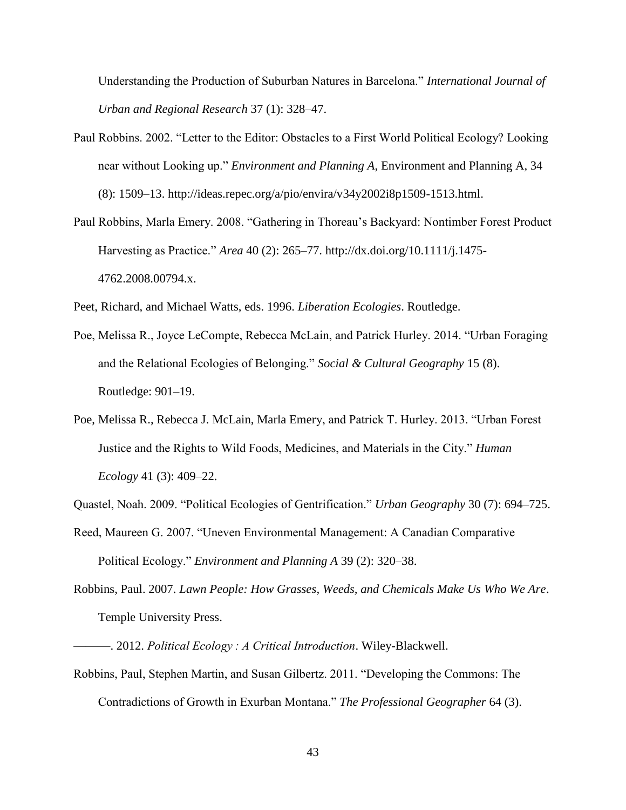Understanding the Production of Suburban Natures in Barcelona." *International Journal of Urban and Regional Research* 37 (1): 328–47.

- Paul Robbins. 2002. "Letter to the Editor: Obstacles to a First World Political Ecology? Looking near without Looking up." *Environment and Planning A*, Environment and Planning A, 34 (8): 1509–13. http://ideas.repec.org/a/pio/envira/v34y2002i8p1509-1513.html.
- Paul Robbins, Marla Emery. 2008. "Gathering in Thoreau's Backyard: Nontimber Forest Product Harvesting as Practice." *Area* 40 (2): 265–77. http://dx.doi.org/10.1111/j.1475- 4762.2008.00794.x.

Peet, Richard, and Michael Watts, eds. 1996. *Liberation Ecologies*. Routledge.

- Poe, Melissa R., Joyce LeCompte, Rebecca McLain, and Patrick Hurley. 2014. "Urban Foraging and the Relational Ecologies of Belonging." *Social & Cultural Geography* 15 (8). Routledge: 901–19.
- Poe, Melissa R., Rebecca J. McLain, Marla Emery, and Patrick T. Hurley. 2013. "Urban Forest Justice and the Rights to Wild Foods, Medicines, and Materials in the City." *Human Ecology* 41 (3): 409–22.

Quastel, Noah. 2009. "Political Ecologies of Gentrification." *Urban Geography* 30 (7): 694–725.

- Reed, Maureen G. 2007. "Uneven Environmental Management: A Canadian Comparative Political Ecology." *Environment and Planning A* 39 (2): 320–38.
- Robbins, Paul. 2007. *Lawn People: How Grasses, Weeds, and Chemicals Make Us Who We Are*. Temple University Press.

Robbins, Paul, Stephen Martin, and Susan Gilbertz. 2011. "Developing the Commons: The Contradictions of Growth in Exurban Montana." *The Professional Geographer* 64 (3).

<sup>———. 2012.</sup> *Political Ecology : A Critical Introduction*. Wiley-Blackwell.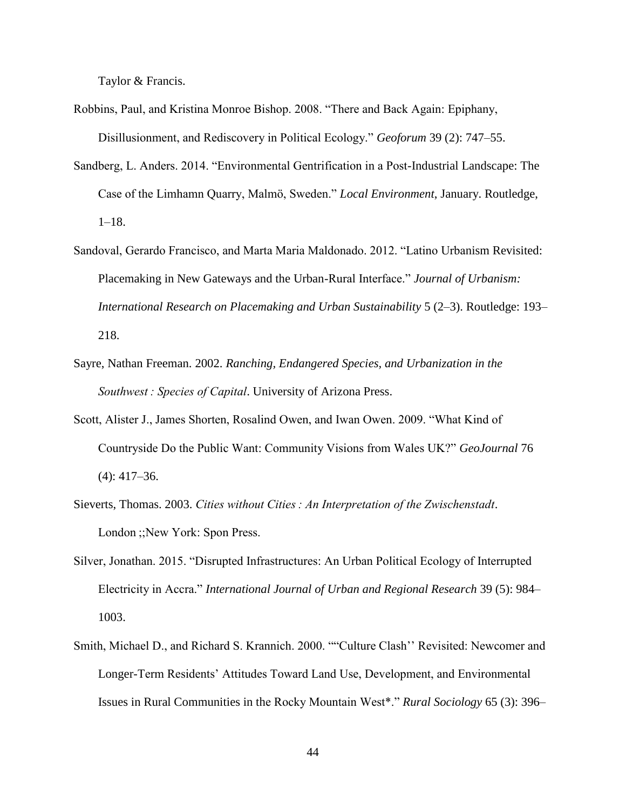Taylor & Francis.

- Robbins, Paul, and Kristina Monroe Bishop. 2008. "There and Back Again: Epiphany, Disillusionment, and Rediscovery in Political Ecology." *Geoforum* 39 (2): 747–55.
- Sandberg, L. Anders. 2014. "Environmental Gentrification in a Post-Industrial Landscape: The Case of the Limhamn Quarry, Malmö, Sweden." *Local Environment*, January. Routledge, 1–18.
- Sandoval, Gerardo Francisco, and Marta Maria Maldonado. 2012. "Latino Urbanism Revisited: Placemaking in New Gateways and the Urban-Rural Interface." *Journal of Urbanism: International Research on Placemaking and Urban Sustainability* 5 (2–3). Routledge: 193– 218.
- Sayre, Nathan Freeman. 2002. *Ranching, Endangered Species, and Urbanization in the Southwest : Species of Capital*. University of Arizona Press.
- Scott, Alister J., James Shorten, Rosalind Owen, and Iwan Owen. 2009. "What Kind of Countryside Do the Public Want: Community Visions from Wales UK?" *GeoJournal* 76 (4): 417–36.
- Sieverts, Thomas. 2003. *Cities without Cities : An Interpretation of the Zwischenstadt*. London ;;New York: Spon Press.
- Silver, Jonathan. 2015. "Disrupted Infrastructures: An Urban Political Ecology of Interrupted Electricity in Accra." *International Journal of Urban and Regional Research* 39 (5): 984– 1003.
- Smith, Michael D., and Richard S. Krannich. 2000. ""Culture Clash'' Revisited: Newcomer and Longer-Term Residents' Attitudes Toward Land Use, Development, and Environmental Issues in Rural Communities in the Rocky Mountain West\*." *Rural Sociology* 65 (3): 396–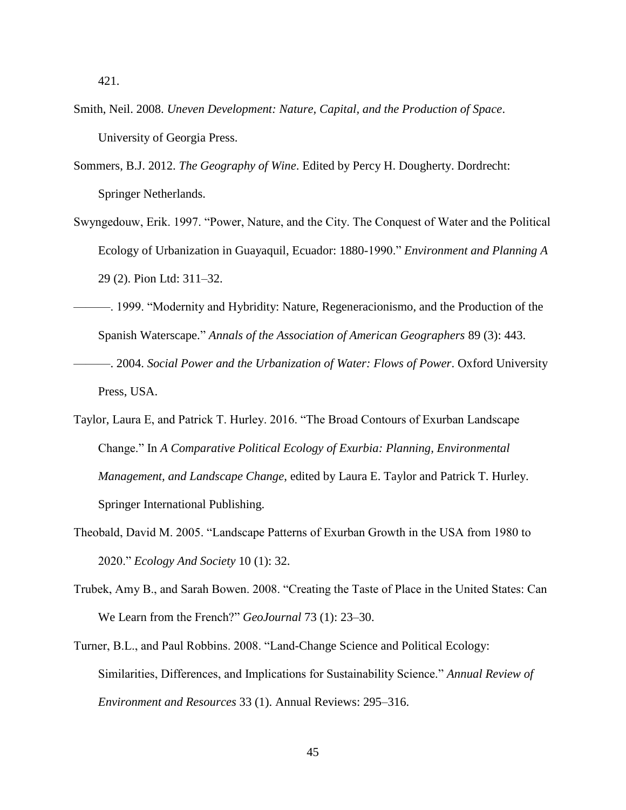421.

- Smith, Neil. 2008. *Uneven Development: Nature, Capital, and the Production of Space*. University of Georgia Press.
- Sommers, B.J. 2012. *The Geography of Wine*. Edited by Percy H. Dougherty. Dordrecht: Springer Netherlands.
- Swyngedouw, Erik. 1997. "Power, Nature, and the City. The Conquest of Water and the Political Ecology of Urbanization in Guayaquil, Ecuador: 1880-1990." *Environment and Planning A* 29 (2). Pion Ltd: 311–32.
- ———. 1999. "Modernity and Hybridity: Nature, Regeneracionismo, and the Production of the Spanish Waterscape." *Annals of the Association of American Geographers* 89 (3): 443. ———. 2004. *Social Power and the Urbanization of Water: Flows of Power*. Oxford University Press, USA.
- Taylor, Laura E, and Patrick T. Hurley. 2016. "The Broad Contours of Exurban Landscape Change." In *A Comparative Political Ecology of Exurbia: Planning, Environmental Management, and Landscape Change*, edited by Laura E. Taylor and Patrick T. Hurley. Springer International Publishing.
- Theobald, David M. 2005. "Landscape Patterns of Exurban Growth in the USA from 1980 to 2020." *Ecology And Society* 10 (1): 32.
- Trubek, Amy B., and Sarah Bowen. 2008. "Creating the Taste of Place in the United States: Can We Learn from the French?" *GeoJournal* 73 (1): 23–30.
- Turner, B.L., and Paul Robbins. 2008. "Land-Change Science and Political Ecology: Similarities, Differences, and Implications for Sustainability Science." *Annual Review of Environment and Resources* 33 (1). Annual Reviews: 295–316.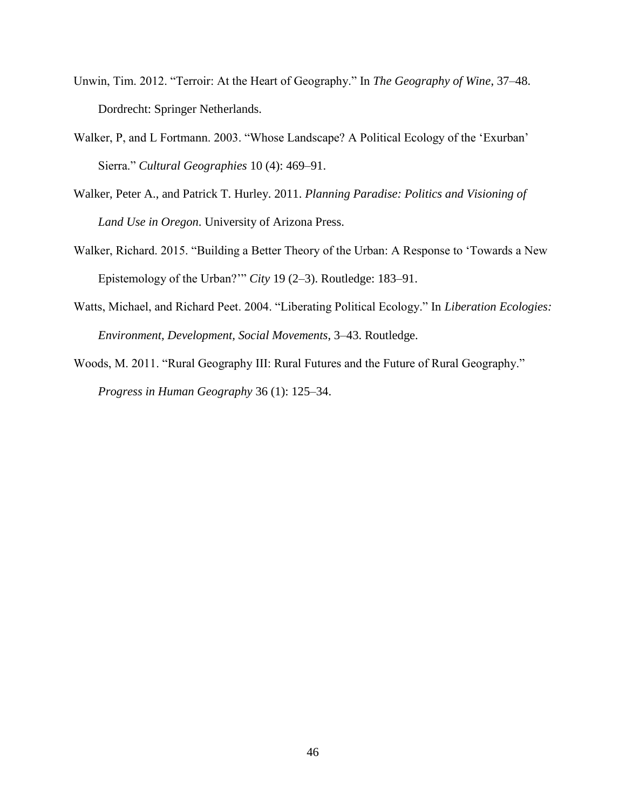- Unwin, Tim. 2012. "Terroir: At the Heart of Geography." In *The Geography of Wine*, 37–48. Dordrecht: Springer Netherlands.
- Walker, P, and L Fortmann. 2003. "Whose Landscape? A Political Ecology of the 'Exurban' Sierra." *Cultural Geographies* 10 (4): 469–91.
- Walker, Peter A., and Patrick T. Hurley. 2011. *Planning Paradise: Politics and Visioning of Land Use in Oregon*. University of Arizona Press.
- Walker, Richard. 2015. "Building a Better Theory of the Urban: A Response to 'Towards a New Epistemology of the Urban?'" *City* 19 (2–3). Routledge: 183–91.
- Watts, Michael, and Richard Peet. 2004. "Liberating Political Ecology." In *Liberation Ecologies: Environment, Development, Social Movements*, 3–43. Routledge.

Woods, M. 2011. "Rural Geography III: Rural Futures and the Future of Rural Geography." *Progress in Human Geography* 36 (1): 125–34.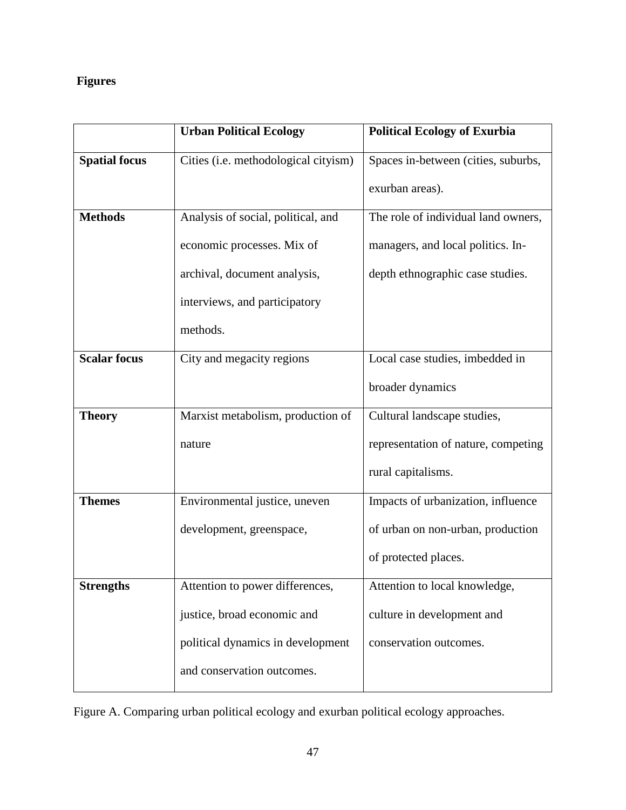# **Figures**

|                      | <b>Urban Political Ecology</b>       | <b>Political Ecology of Exurbia</b> |
|----------------------|--------------------------------------|-------------------------------------|
| <b>Spatial focus</b> | Cities (i.e. methodological cityism) | Spaces in-between (cities, suburbs, |
|                      |                                      | exurban areas).                     |
| <b>Methods</b>       | Analysis of social, political, and   | The role of individual land owners, |
|                      | economic processes. Mix of           | managers, and local politics. In-   |
|                      | archival, document analysis,         | depth ethnographic case studies.    |
|                      | interviews, and participatory        |                                     |
|                      | methods.                             |                                     |
| <b>Scalar focus</b>  | City and megacity regions            | Local case studies, imbedded in     |
|                      |                                      | broader dynamics                    |
| <b>Theory</b>        | Marxist metabolism, production of    | Cultural landscape studies,         |
|                      | nature                               | representation of nature, competing |
|                      |                                      | rural capitalisms.                  |
| <b>Themes</b>        | Environmental justice, uneven        | Impacts of urbanization, influence  |
|                      | development, greenspace,             | of urban on non-urban, production   |
|                      |                                      | of protected places.                |
| <b>Strengths</b>     | Attention to power differences,      | Attention to local knowledge,       |
|                      | justice, broad economic and          | culture in development and          |
|                      | political dynamics in development    | conservation outcomes.              |
|                      | and conservation outcomes.           |                                     |

Figure A. Comparing urban political ecology and exurban political ecology approaches.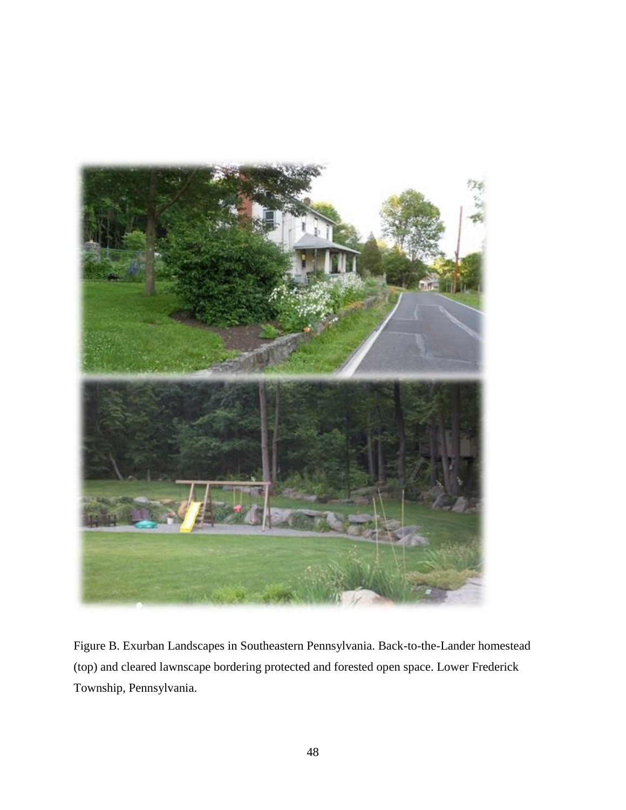

Figure B. Exurban Landscapes in Southeastern Pennsylvania. Back-to-the-Lander homestead (top) and cleared lawnscape bordering protected and forested open space. Lower Frederick Township, Pennsylvania.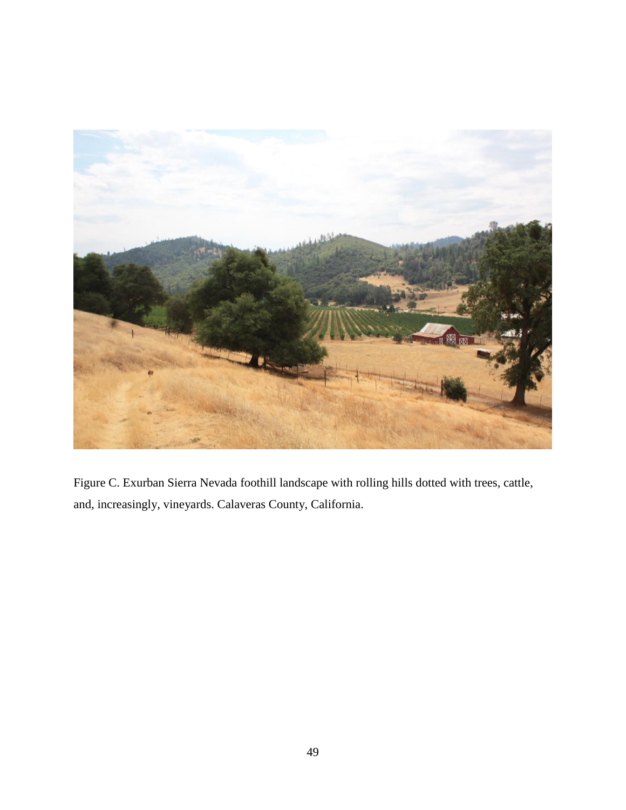

Figure C. Exurban Sierra Nevada foothill landscape with rolling hills dotted with trees, cattle, and, increasingly, vineyards. Calaveras County, California.